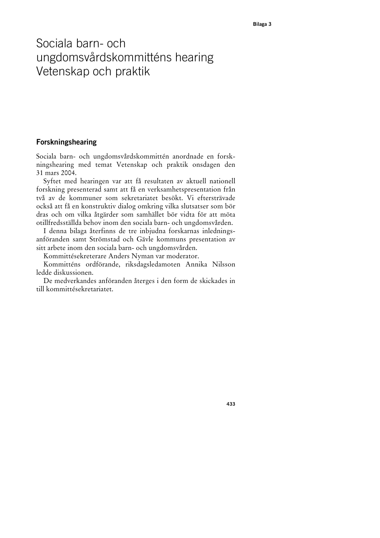# Sociala barn- och ungdomsvårdskommitténs hearing Vetenskap och praktik

# Forskningshearing

Sociala barn- och ungdomsvårdskommittén anordnade en forskningshearing med temat Vetenskap och praktik onsdagen den 31 mars 2004.

Syftet med hearingen var att få resultaten av aktuell nationell forskning presenterad samt att få en verksamhetspresentation från två av de kommuner som sekretariatet besökt. Vi eftersträvade också att få en konstruktiv dialog omkring vilka slutsatser som bör dras och om vilka åtgärder som samhället bör vidta för att möta otillfredsställda behov inom den sociala barn- och ungdomsvården.

I denna bilaga återfinns de tre inbjudna forskarnas inledningsanföranden samt Strömstad och Gävle kommuns presentation av sitt arbete inom den sociala barn- och ungdomsvården.

Kommittésekreterare Anders Nyman var moderator.

Kommitténs ordförande, riksdagsledamoten Annika Nilsson ledde diskussionen.

De medverkandes anföranden återges i den form de skickades in till kommittésekretariatet.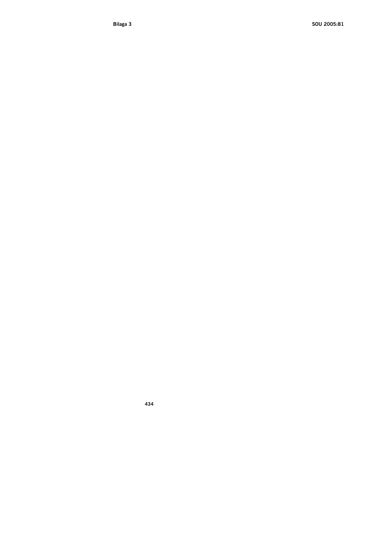Bilaga 3 Sou 2005:81 Sou 2005:81 Sou 2005:81 Sou 2005:81 Sou 2005:81 Sou 2005:81 Sou 2005:81 Sou 2005:81 Sou 2<br>Sou 2005:81 Sou 2005:81 Sou 2005:81 Sou 2005:81 Sou 2005:81 Sou 2005:81 Sou 2005:81 Sou 2005:81 Sou 2005:81 So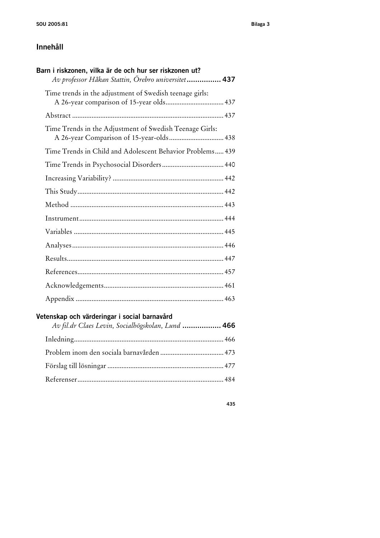# Innehåll

| Barn i riskzonen, vilka är de och hur ser riskzonen ut?<br>Av professor Håkan Stattin, Örebro universitet 437 |
|---------------------------------------------------------------------------------------------------------------|
| Time trends in the adjustment of Swedish teenage girls:<br>A 26-year comparison of 15-year olds 437           |
|                                                                                                               |
| Time Trends in the Adjustment of Swedish Teenage Girls:<br>A 26-year Comparison of 15-year-olds 438           |
| Time Trends in Child and Adolescent Behavior Problems 439                                                     |
|                                                                                                               |
|                                                                                                               |
|                                                                                                               |
|                                                                                                               |
|                                                                                                               |
|                                                                                                               |
|                                                                                                               |
|                                                                                                               |
|                                                                                                               |
|                                                                                                               |
|                                                                                                               |

# [Vetenskap och värderingar i social barnavård](#page-33-0)

| Av fil.dr Claes Levin, Socialhögskolan, Lund  466 |  |
|---------------------------------------------------|--|
|                                                   |  |
|                                                   |  |
|                                                   |  |
|                                                   |  |
|                                                   |  |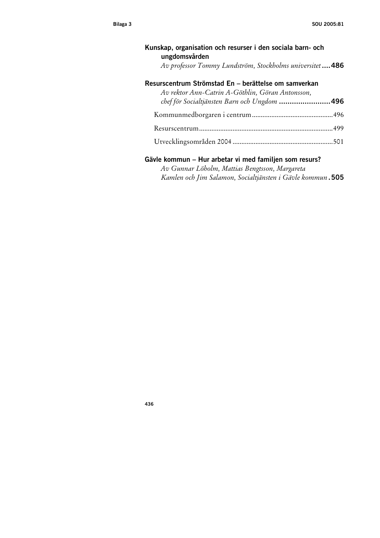|  | Kunskap, organisation och resurser i den sociala barn- och |  |  |  |  |  |
|--|------------------------------------------------------------|--|--|--|--|--|
|  | ungdomsvården                                              |  |  |  |  |  |
|  |                                                            |  |  |  |  |  |

[Av professor Tommy Lundström, Stockholms universitet](#page-53-0)....486

# [Resurscentrum Strömstad En – berättelse om samverkan](#page-63-0)

| Av rektor Ann-Catrin A-Göthlin, Göran Antonsson,<br>chef för Socialtjänsten Barn och Ungdom  496 |  |
|--------------------------------------------------------------------------------------------------|--|
|                                                                                                  |  |
|                                                                                                  |  |
|                                                                                                  |  |
|                                                                                                  |  |

# [Gävle kommun – Hur arbetar vi med familjen som resurs?](#page-72-0)

[Av Gunnar Löholm, Mattias Bengtsson, Margareta](#page-72-0)  [Kamlen och Jim Salamon, Socialtjänsten i Gävle kommun](#page-72-0).505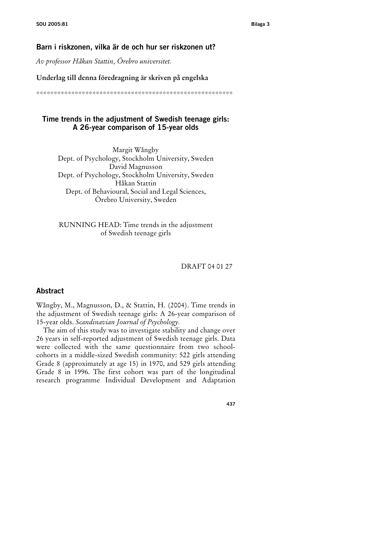### <span id="page-4-0"></span>Barn i riskzonen, vilka är de och hur ser riskzonen ut?

Av professor Håkan Stattin, Örebro universitet.

Underlag till denna föredragning är skriven på engelska

\*\*\*\*\*\*\*\*\*\*\*\*\*\*\*\*\*\*\*\*\*\*\*\*\*\*\*\*\*\*\*\*\*\*\*\*\*\*\*\*\*\*\*\*\*\*\*\*\*\*\*\*\*\*\*\*

# Time trends in the adjustment of Swedish teenage girls: A 26-year comparison of 15-year olds

Margit Wångby Dept. of Psychology, Stockholm University, Sweden David Magnusson Dept. of Psychology, Stockholm University, Sweden Håkan Stattin Dept. of Behavioural, Social and Legal Sciences, Örebro University, Sweden

RUNNING HEAD: Time trends in the adjustment of Swedish teenage girls

DRAFT 04 01 27

# **Abstract**

Wångby, M., Magnusson, D., & Stattin, H. (2004). Time trends in the adjustment of Swedish teenage girls: A 26-year comparison of 15-year olds. Scandinavian Journal of Psychology.

The aim of this study was to investigate stability and change over 26 years in self-reported adjustment of Swedish teenage girls. Data were collected with the same questionnaire from two schoolcohorts in a middle-sized Swedish community: 522 girls attending Grade 8 (approximately at age 15) in 1970, and 529 girls attending Grade 8 in 1996. The first cohort was part of the longitudinal research programme Individual Development and Adaptation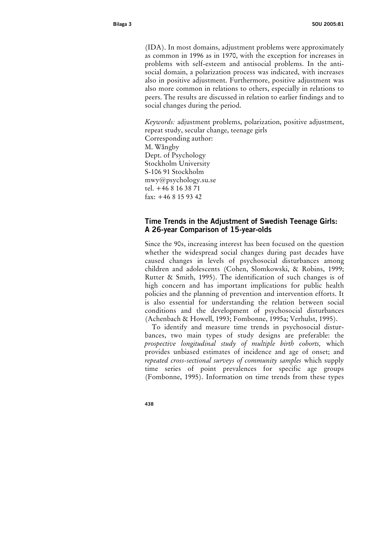<span id="page-5-0"></span>(IDA). In most domains, adjustment problems were approximately as common in 1996 as in 1970, with the exception for increases in problems with self-esteem and antisocial problems. In the antisocial domain, a polarization process was indicated, with increases also in positive adjustment. Furthermore, positive adjustment was also more common in relations to others, especially in relations to peers. The results are discussed in relation to earlier findings and to social changes during the period.

Keywords: adjustment problems, polarization, positive adjustment, repeat study, secular change, teenage girls Corresponding author: M. Wångby Dept. of Psychology Stockholm University S-106 91 Stockholm mwy@psychology.su.se tel. +46 8 16 38 71 fax: +46 8 15 93 42

# Time Trends in the Adjustment of Swedish Teenage Girls: A 26-year Comparison of 15-year-olds

Since the 90s, increasing interest has been focused on the question whether the widespread social changes during past decades have caused changes in levels of psychosocial disturbances among children and adolescents (Cohen, Slomkowski, & Robins, 1999; Rutter & Smith, 1995). The identification of such changes is of high concern and has important implications for public health policies and the planning of prevention and intervention efforts. It is also essential for understanding the relation between social conditions and the development of psychosocial disturbances (Achenbach & Howell, 1993; Fombonne, 1995a; Verhulst, 1995).

To identify and measure time trends in psychosocial disturbances, two main types of study designs are preferable: the prospective longitudinal study of multiple birth cohorts, which provides unbiased estimates of incidence and age of onset; and repeated cross-sectional surveys of community samples which supply time series of point prevalences for specific age groups (Fombonne, 1995). Information on time trends from these types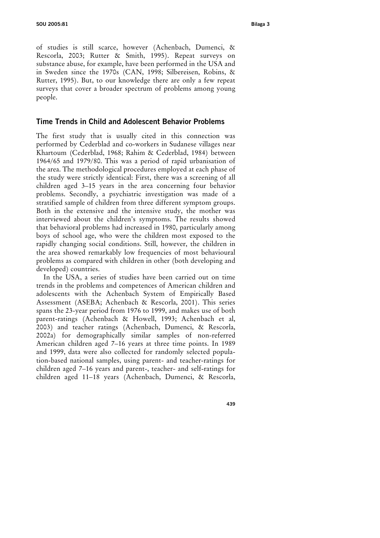<span id="page-6-0"></span>of studies is still scarce, however (Achenbach, Dumenci, & Rescorla, 2003; Rutter & Smith, 1995). Repeat surveys on substance abuse, for example, have been performed in the USA and in Sweden since the 1970s (CAN, 1998; Silbereisen, Robins, & Rutter, 1995). But, to our knowledge there are only a few repeat surveys that cover a broader spectrum of problems among young people.

## Time Trends in Child and Adolescent Behavior Problems

The first study that is usually cited in this connection was performed by Cederblad and co-workers in Sudanese villages near Khartoum (Cederblad, 1968; Rahim & Cederblad, 1984) between 1964/65 and 1979/80. This was a period of rapid urbanisation of the area. The methodological procedures employed at each phase of the study were strictly identical: First, there was a screening of all children aged 3–15 years in the area concerning four behavior problems. Secondly, a psychiatric investigation was made of a stratified sample of children from three different symptom groups. Both in the extensive and the intensive study, the mother was interviewed about the children's symptoms. The results showed that behavioral problems had increased in 1980, particularly among boys of school age, who were the children most exposed to the rapidly changing social conditions. Still, however, the children in the area showed remarkably low frequencies of most behavioural problems as compared with children in other (both developing and developed) countries.

In the USA, a series of studies have been carried out on time trends in the problems and competences of American children and adolescents with the Achenbach System of Empirically Based Assessment (ASEBA; Achenbach & Rescorla, 2001). This series spans the 23-year period from 1976 to 1999, and makes use of both parent-ratings (Achenbach & Howell, 1993; Achenbach et al, 2003) and teacher ratings (Achenbach, Dumenci, & Rescorla, 2002a) for demographically similar samples of non-referred American children aged 7–16 years at three time points. In 1989 and 1999, data were also collected for randomly selected population-based national samples, using parent- and teacher-ratings for children aged 7–16 years and parent-, teacher- and self-ratings for children aged 11–18 years (Achenbach, Dumenci, & Rescorla,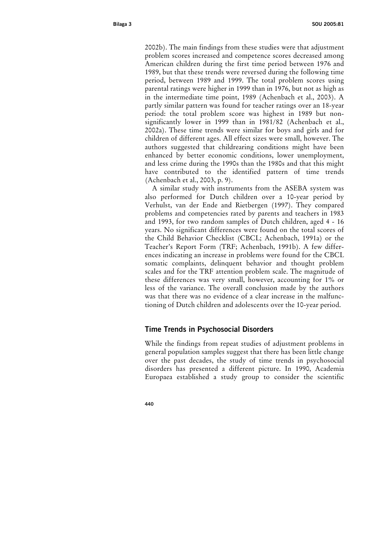<span id="page-7-0"></span>2002b). The main findings from these studies were that adjustment problem scores increased and competence scores decreased among American children during the first time period between 1976 and 1989, but that these trends were reversed during the following time period, between 1989 and 1999. The total problem scores using parental ratings were higher in 1999 than in 1976, but not as high as in the intermediate time point, 1989 (Achenbach et al., 2003). A partly similar pattern was found for teacher ratings over an 18-year period: the total problem score was highest in 1989 but nonsignificantly lower in 1999 than in 1981/82 (Achenbach et al., 2002a). These time trends were similar for boys and girls and for children of different ages. All effect sizes were small, however. The authors suggested that childrearing conditions might have been enhanced by better economic conditions, lower unemployment, and less crime during the 1990s than the 1980s and that this might have contributed to the identified pattern of time trends (Achenbach et al., 2003, p. 9).

A similar study with instruments from the ASEBA system was also performed for Dutch children over a 10-year period by Verhulst, van der Ende and Rietbergen (1997). They compared problems and competencies rated by parents and teachers in 1983 and 1993, for two random samples of Dutch children, aged 4 - 16 years. No significant differences were found on the total scores of the Child Behavior Checklist (CBCL; Achenbach, 1991a) or the Teacher's Report Form (TRF; Achenbach, 1991b). A few differences indicating an increase in problems were found for the CBCL somatic complaints, delinquent behavior and thought problem scales and for the TRF attention problem scale. The magnitude of these differences was very small, however, accounting for 1% or less of the variance. The overall conclusion made by the authors was that there was no evidence of a clear increase in the malfunctioning of Dutch children and adolescents over the 10-year period.

#### Time Trends in Psychosocial Disorders

While the findings from repeat studies of adjustment problems in general population samples suggest that there has been little change over the past decades, the study of time trends in psychosocial disorders has presented a different picture. In 1990, Academia Europaea established a study group to consider the scientific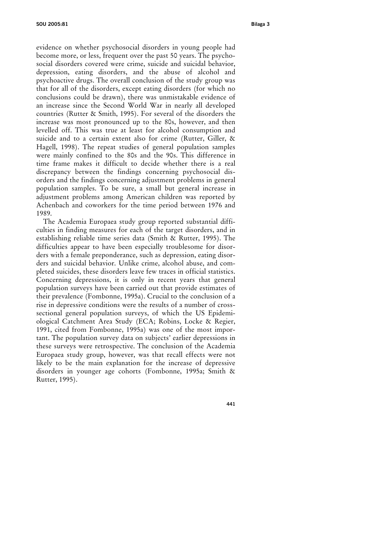evidence on whether psychosocial disorders in young people had become more, or less, frequent over the past 50 years. The psychosocial disorders covered were crime, suicide and suicidal behavior, depression, eating disorders, and the abuse of alcohol and psychoactive drugs. The overall conclusion of the study group was that for all of the disorders, except eating disorders (for which no conclusions could be drawn), there was unmistakable evidence of an increase since the Second World War in nearly all developed countries (Rutter & Smith, 1995). For several of the disorders the increase was most pronounced up to the 80s, however, and then levelled off. This was true at least for alcohol consumption and suicide and to a certain extent also for crime (Rutter, Giller, & Hagell, 1998). The repeat studies of general population samples were mainly confined to the 80s and the 90s. This difference in time frame makes it difficult to decide whether there is a real discrepancy between the findings concerning psychosocial disorders and the findings concerning adjustment problems in general population samples. To be sure, a small but general increase in adjustment problems among American children was reported by Achenbach and coworkers for the time period between 1976 and 1989.

The Academia Europaea study group reported substantial difficulties in finding measures for each of the target disorders, and in establishing reliable time series data (Smith & Rutter, 1995). The difficulties appear to have been especially troublesome for disorders with a female preponderance, such as depression, eating disorders and suicidal behavior. Unlike crime, alcohol abuse, and completed suicides, these disorders leave few traces in official statistics. Concerning depressions, it is only in recent years that general population surveys have been carried out that provide estimates of their prevalence (Fombonne, 1995a). Crucial to the conclusion of a rise in depressive conditions were the results of a number of crosssectional general population surveys, of which the US Epidemiological Catchment Area Study (ECA; Robins, Locke & Regier, 1991, cited from Fombonne, 1995a) was one of the most important. The population survey data on subjects' earlier depressions in these surveys were retrospective. The conclusion of the Academia Europaea study group, however, was that recall effects were not likely to be the main explanation for the increase of depressive disorders in younger age cohorts (Fombonne, 1995a; Smith & Rutter, 1995).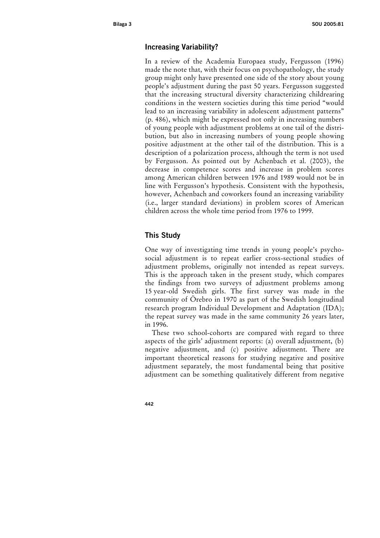## <span id="page-9-0"></span>Increasing Variability?

In a review of the Academia Europaea study, Fergusson (1996) made the note that, with their focus on psychopathology, the study group might only have presented one side of the story about young people's adjustment during the past 50 years. Fergusson suggested that the increasing structural diversity characterizing childrearing conditions in the western societies during this time period "would lead to an increasing variability in adolescent adjustment patterns" (p. 486), which might be expressed not only in increasing numbers of young people with adjustment problems at one tail of the distribution, but also in increasing numbers of young people showing positive adjustment at the other tail of the distribution. This is a description of a polarization process, although the term is not used by Fergusson. As pointed out by Achenbach et al. (2003), the decrease in competence scores and increase in problem scores among American children between 1976 and 1989 would not be in line with Fergusson's hypothesis. Consistent with the hypothesis, however, Achenbach and coworkers found an increasing variability (i.e., larger standard deviations) in problem scores of American children across the whole time period from 1976 to 1999.

# This Study

One way of investigating time trends in young people's psychosocial adjustment is to repeat earlier cross-sectional studies of adjustment problems, originally not intended as repeat surveys. This is the approach taken in the present study, which compares the findings from two surveys of adjustment problems among 15 year-old Swedish girls. The first survey was made in the community of Örebro in 1970 as part of the Swedish longitudinal research program Individual Development and Adaptation (IDA); the repeat survey was made in the same community 26 years later, in 1996.

These two school-cohorts are compared with regard to three aspects of the girls' adjustment reports: (a) overall adjustment, (b) negative adjustment, and (c) positive adjustment. There are important theoretical reasons for studying negative and positive adjustment separately, the most fundamental being that positive adjustment can be something qualitatively different from negative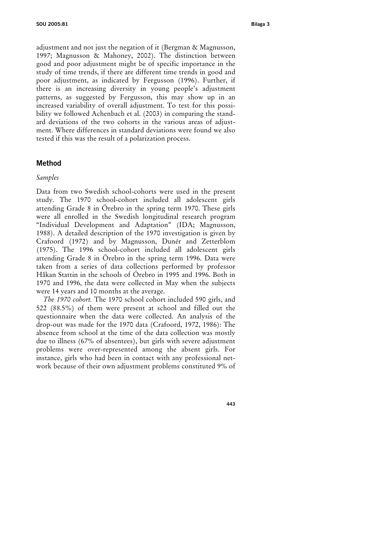<span id="page-10-0"></span>adjustment and not just the negation of it (Bergman & Magnusson, 1997; Magnusson & Mahoney, 2002). The distinction between good and poor adjustment might be of specific importance in the study of time trends, if there are different time trends in good and poor adjustment, as indicated by Fergusson (1996). Further, if there is an increasing diversity in young people's adjustment patterns, as suggested by Fergusson, this may show up in an increased variability of overall adjustment. To test for this possibility we followed Achenbach et al. (2003) in comparing the standard deviations of the two cohorts in the various areas of adjustment. Where differences in standard deviations were found we also tested if this was the result of a polarization process.

#### Method

#### Samples

Data from two Swedish school-cohorts were used in the present study. The 1970 school-cohort included all adolescent girls attending Grade 8 in Örebro in the spring term 1970. These girls were all enrolled in the Swedish longitudinal research program "Individual Development and Adaptation" (IDA; Magnusson, 1988). A detailed description of the 1970 investigation is given by Crafoord (1972) and by Magnusson, Dunér and Zetterblom (1975). The 1996 school-cohort included all adolescent girls attending Grade 8 in Örebro in the spring term 1996. Data were taken from a series of data collections performed by professor Håkan Stattin in the schools of Örebro in 1995 and 1996. Both in 1970 and 1996, the data were collected in May when the subjects were 14 years and 10 months at the average.

The 1970 cohort. The 1970 school cohort included 590 girls, and 522 (88.5%) of them were present at school and filled out the questionnaire when the data were collected. An analysis of the drop-out was made for the 1970 data (Crafoord, 1972, 1986): The absence from school at the time of the data collection was mostly due to illness (67% of absentees), but girls with severe adjustment problems were over-represented among the absent girls. For instance, girls who had been in contact with any professional network because of their own adjustment problems constituted 9% of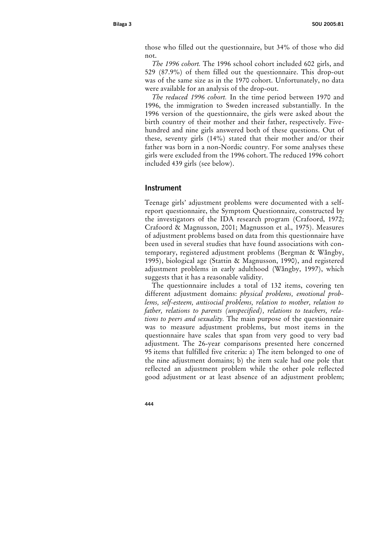<span id="page-11-0"></span>those who filled out the questionnaire, but 34% of those who did not.

The 1996 cohort. The 1996 school cohort included 602 girls, and 529 (87.9%) of them filled out the questionnaire. This drop-out was of the same size as in the 1970 cohort. Unfortunately, no data were available for an analysis of the drop-out.

The reduced 1996 cohort. In the time period between 1970 and 1996, the immigration to Sweden increased substantially. In the 1996 version of the questionnaire, the girls were asked about the birth country of their mother and their father, respectively. Fivehundred and nine girls answered both of these questions. Out of these, seventy girls (14%) stated that their mother and/or their father was born in a non-Nordic country. For some analyses these girls were excluded from the 1996 cohort. The reduced 1996 cohort included 439 girls (see below).

#### Instrument

Teenage girls' adjustment problems were documented with a selfreport questionnaire, the Symptom Questionnaire, constructed by the investigators of the IDA research program (Crafoord, 1972; Crafoord & Magnusson, 2001; Magnusson et al., 1975). Measures of adjustment problems based on data from this questionnaire have been used in several studies that have found associations with contemporary, registered adjustment problems (Bergman & Wångby, 1995), biological age (Stattin & Magnusson, 1990), and registered adjustment problems in early adulthood (Wångby, 1997), which suggests that it has a reasonable validity.

The questionnaire includes a total of 132 items, covering ten different adjustment domains: *physical problems*, emotional problems, self-esteem, antisocial problems, relation to mother, relation to father, relations to parents (unspecified), relations to teachers, relations to peers and sexuality. The main purpose of the questionnaire was to measure adjustment problems, but most items in the questionnaire have scales that span from very good to very bad adjustment. The 26-year comparisons presented here concerned 95 items that fulfilled five criteria: a) The item belonged to one of the nine adjustment domains; b) the item scale had one pole that reflected an adjustment problem while the other pole reflected good adjustment or at least absence of an adjustment problem;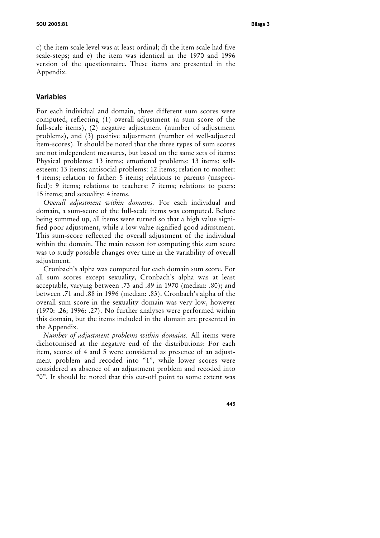<span id="page-12-0"></span>c) the item scale level was at least ordinal; d) the item scale had five scale-steps; and e) the item was identical in the 1970 and 1996 version of the questionnaire. These items are presented in the Appendix.

#### Variables

For each individual and domain, three different sum scores were computed, reflecting (1) overall adjustment (a sum score of the full-scale items), (2) negative adjustment (number of adjustment problems), and (3) positive adjustment (number of well-adjusted item-scores). It should be noted that the three types of sum scores are not independent measures, but based on the same sets of items: Physical problems: 13 items; emotional problems: 13 items; selfesteem: 13 items; antisocial problems: 12 items; relation to mother: 4 items; relation to father: 5 items; relations to parents (unspecified): 9 items; relations to teachers: 7 items; relations to peers: 15 items; and sexuality: 4 items.

Overall adjustment within domains. For each individual and domain, a sum-score of the full-scale items was computed. Before being summed up, all items were turned so that a high value signified poor adjustment, while a low value signified good adjustment. This sum-score reflected the overall adjustment of the individual within the domain. The main reason for computing this sum score was to study possible changes over time in the variability of overall adjustment.

Cronbach's alpha was computed for each domain sum score. For all sum scores except sexuality, Cronbach's alpha was at least acceptable, varying between .73 and .89 in 1970 (median: .80); and between .71 and .88 in 1996 (median: .83). Cronbach's alpha of the overall sum score in the sexuality domain was very low, however (1970: .26; 1996: .27). No further analyses were performed within this domain, but the items included in the domain are presented in the Appendix.

Number of adjustment problems within domains. All items were dichotomised at the negative end of the distributions: For each item, scores of 4 and 5 were considered as presence of an adjustment problem and recoded into "1", while lower scores were considered as absence of an adjustment problem and recoded into "0". It should be noted that this cut-off point to some extent was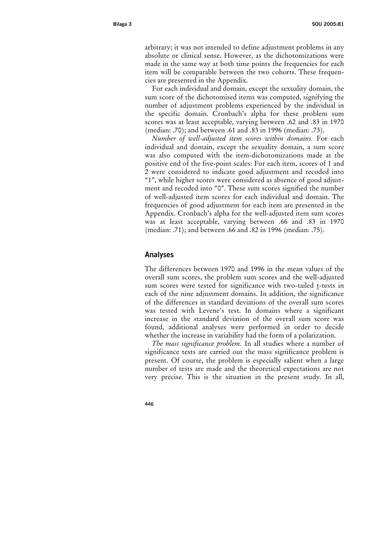<span id="page-13-0"></span>arbitrary; it was not intended to define adjustment problems in any absolute or clinical sense. However, as the dichotomizations were made in the same way at both time points the frequencies for each item will be comparable between the two cohorts. These frequencies are presented in the Appendix.

For each individual and domain, except the sexuality domain, the sum score of the dichotomised items was computed, signifying the number of adjustment problems experienced by the individual in the specific domain. Cronbach's alpha for these problem sum scores was at least acceptable, varying between .62 and .83 in 1970 (median: .70); and between .61 and .83 in 1996 (median: .73).

Number of well-adjusted item scores within domains. For each individual and domain, except the sexuality domain, a sum score was also computed with the item-dichotomizations made at the positive end of the five-point scales: For each item, scores of 1 and 2 were considered to indicate good adjustment and recoded into "1", while higher scores were considered as absence of good adjustment and recoded into "0". These sum scores signified the number of well-adjusted item scores for each individual and domain. The frequencies of good adjustment for each item are presented in the Appendix. Cronbach's alpha for the well-adjusted item sum scores was at least acceptable, varying between .66 and .83 in 1970 (median: .71); and between .66 and .82 in 1996 (median: .75).

# Analyses

The differences between 1970 and 1996 in the mean values of the overall sum scores, the problem sum scores and the well-adjusted sum scores were tested for significance with two-tailed t-tests in each of the nine adjustment domains. In addition, the significance of the differences in standard deviations of the overall sum scores was tested with Levene's test. In domains where a significant increase in the standard deviation of the overall sum score was found, additional analyses were performed in order to decide whether the increase in variability had the form of a polarization.

The mass significance problem. In all studies where a number of significance tests are carried out the mass significance problem is present. Of course, the problem is especially salient when a large number of tests are made and the theoretical expectations are not very precise. This is the situation in the present study. In all,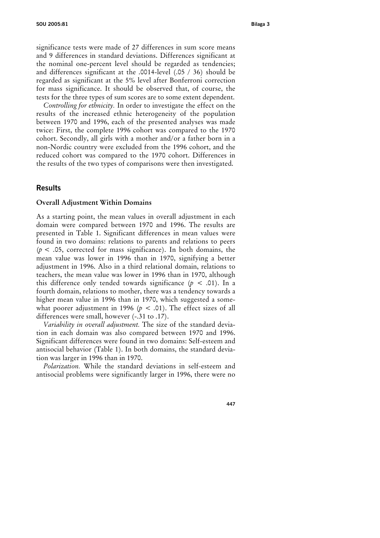<span id="page-14-0"></span>significance tests were made of 27 differences in sum score means and 9 differences in standard deviations. Differences significant at the nominal one-percent level should be regarded as tendencies; and differences significant at the .0014-level (.05 / 36) should be regarded as significant at the 5% level after Bonferroni correction for mass significance. It should be observed that, of course, the

tests for the three types of sum scores are to some extent dependent. Controlling for ethnicity. In order to investigate the effect on the results of the increased ethnic heterogeneity of the population between 1970 and 1996, each of the presented analyses was made twice: First, the complete 1996 cohort was compared to the 1970 cohort. Secondly, all girls with a mother and/or a father born in a non-Nordic country were excluded from the 1996 cohort, and the reduced cohort was compared to the 1970 cohort. Differences in the results of the two types of comparisons were then investigated.

#### Results

#### Overall Adjustment Within Domains

As a starting point, the mean values in overall adjustment in each domain were compared between 1970 and 1996. The results are presented in Table 1. Significant differences in mean values were found in two domains: relations to parents and relations to peers  $(p < .05,$  corrected for mass significance). In both domains, the mean value was lower in 1996 than in 1970, signifying a better adjustment in 1996. Also in a third relational domain, relations to teachers, the mean value was lower in 1996 than in 1970, although this difference only tended towards significance ( $p < .01$ ). In a fourth domain, relations to mother, there was a tendency towards a higher mean value in 1996 than in 1970, which suggested a somewhat poorer adjustment in 1996 ( $p < .01$ ). The effect sizes of all differences were small, however (-.31 to .17).

Variability in overall adjustment. The size of the standard deviation in each domain was also compared between 1970 and 1996. Significant differences were found in two domains: Self-esteem and antisocial behavior (Table 1). In both domains, the standard deviation was larger in 1996 than in 1970.

Polarization. While the standard deviations in self-esteem and antisocial problems were significantly larger in 1996, there were no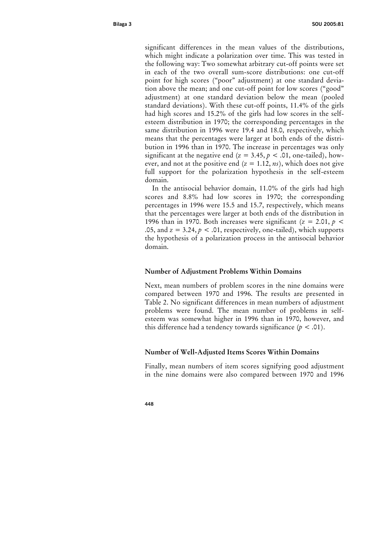significant differences in the mean values of the distributions, which might indicate a polarization over time. This was tested in the following way: Two somewhat arbitrary cut-off points were set in each of the two overall sum-score distributions: one cut-off point for high scores ("poor" adjustment) at one standard deviation above the mean; and one cut-off point for low scores ("good" adjustment) at one standard deviation below the mean (pooled standard deviations). With these cut-off points, 11.4% of the girls had high scores and 15.2% of the girls had low scores in the selfesteem distribution in 1970; the corresponding percentages in the same distribution in 1996 were 19.4 and 18.0, respectively, which means that the percentages were larger at both ends of the distribution in 1996 than in 1970. The increase in percentages was only significant at the negative end ( $z = 3.45$ ,  $p < .01$ , one-tailed), however, and not at the positive end  $(z = 1.12, ns)$ , which does not give full support for the polarization hypothesis in the self-esteem domain.

In the antisocial behavior domain, 11.0% of the girls had high scores and 8.8% had low scores in 1970; the corresponding percentages in 1996 were 15.5 and 15.7, respectively, which means that the percentages were larger at both ends of the distribution in 1996 than in 1970. Both increases were significant ( $z = 2.01$ ,  $p <$ .05, and  $z = 3.24$ ,  $p < .01$ , respectively, one-tailed), which supports the hypothesis of a polarization process in the antisocial behavior domain.

#### Number of Adjustment Problems Within Domains

Next, mean numbers of problem scores in the nine domains were compared between 1970 and 1996. The results are presented in Table 2. No significant differences in mean numbers of adjustment problems were found. The mean number of problems in selfesteem was somewhat higher in 1996 than in 1970, however, and this difference had a tendency towards significance ( $p < .01$ ).

#### Number of Well-Adjusted Items Scores Within Domains

Finally, mean numbers of item scores signifying good adjustment in the nine domains were also compared between 1970 and 1996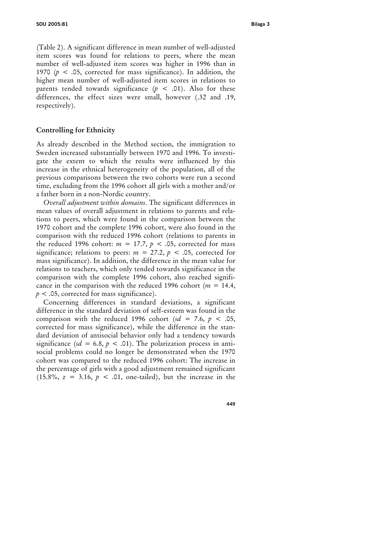(Table 2). A significant difference in mean number of well-adjusted item scores was found for relations to peers, where the mean number of well-adjusted item scores was higher in 1996 than in 1970 ( $p < .05$ , corrected for mass significance). In addition, the higher mean number of well-adjusted item scores in relations to parents tended towards significance ( $p < .01$ ). Also for these differences, the effect sizes were small, however (.32 and .19, respectively).

#### Controlling for Ethnicity

As already described in the Method section, the immigration to Sweden increased substantially between 1970 and 1996. To investigate the extent to which the results were influenced by this increase in the ethnical heterogeneity of the population, all of the previous comparisons between the two cohorts were run a second time, excluding from the 1996 cohort all girls with a mother and/or a father born in a non-Nordic country.

Overall adjustment within domains. The significant differences in mean values of overall adjustment in relations to parents and relations to peers, which were found in the comparison between the 1970 cohort and the complete 1996 cohort, were also found in the comparison with the reduced 1996 cohort (relations to parents in the reduced 1996 cohort:  $m = 17.7$ ,  $p < .05$ , corrected for mass significance; relations to peers:  $m = 27.2$ ,  $p < .05$ , corrected for mass significance). In addition, the difference in the mean value for relations to teachers, which only tended towards significance in the comparison with the complete 1996 cohort, also reached significance in the comparison with the reduced 1996 cohort ( $m = 14.4$ ,  $p < .05$ , corrected for mass significance).

Concerning differences in standard deviations, a significant difference in the standard deviation of self-esteem was found in the comparison with the reduced 1996 cohort ( $sd = 7.6$ ,  $p < .05$ , corrected for mass significance), while the difference in the standard deviation of antisocial behavior only had a tendency towards significance (sd = 6.8,  $p$  < .01). The polarization process in antisocial problems could no longer be demonstrated when the 1970 cohort was compared to the reduced 1996 cohort: The increase in the percentage of girls with a good adjustment remained significant  $(15.8\%, z = 3.16, p < .01,$  one-tailed), but the increase in the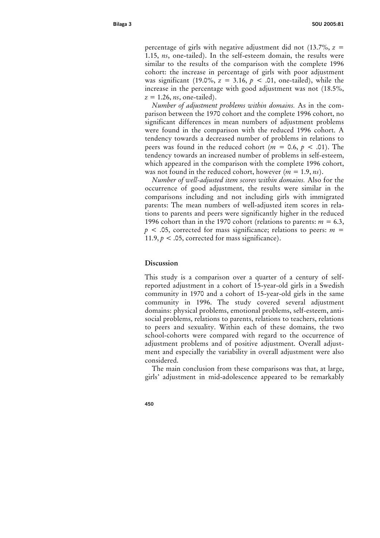percentage of girls with negative adjustment did not  $(13.7\%, z =$ 1.15, ns, one-tailed). In the self-esteem domain, the results were similar to the results of the comparison with the complete 1996 cohort: the increase in percentage of girls with poor adjustment was significant (19.0%,  $z = 3.16$ ,  $p < .01$ , one-tailed), while the increase in the percentage with good adjustment was not (18.5%,  $z = 1.26$ , *ns*, one-tailed).

Number of adjustment problems within domains. As in the comparison between the 1970 cohort and the complete 1996 cohort, no significant differences in mean numbers of adjustment problems were found in the comparison with the reduced 1996 cohort. A tendency towards a decreased number of problems in relations to peers was found in the reduced cohort ( $m = 0.6$ ,  $p < .01$ ). The tendency towards an increased number of problems in self-esteem, which appeared in the comparison with the complete 1996 cohort, was not found in the reduced cohort, however  $(m = 1.9, ns)$ .

Number of well-adjusted item scores within domains. Also for the occurrence of good adjustment, the results were similar in the comparisons including and not including girls with immigrated parents: The mean numbers of well-adjusted item scores in relations to parents and peers were significantly higher in the reduced 1996 cohort than in the 1970 cohort (relations to parents:  $m = 6.3$ ,  $p \lt 0.05$ , corrected for mass significance; relations to peers:  $m =$ 11.9,  $p < 0.05$ , corrected for mass significance).

#### Discussion

This study is a comparison over a quarter of a century of selfreported adjustment in a cohort of 15-year-old girls in a Swedish community in 1970 and a cohort of 15-year-old girls in the same community in 1996. The study covered several adjustment domains: physical problems, emotional problems, self-esteem, antisocial problems, relations to parents, relations to teachers, relations to peers and sexuality. Within each of these domains, the two school-cohorts were compared with regard to the occurrence of adjustment problems and of positive adjustment. Overall adjustment and especially the variability in overall adjustment were also considered.

The main conclusion from these comparisons was that, at large, girls' adjustment in mid-adolescence appeared to be remarkably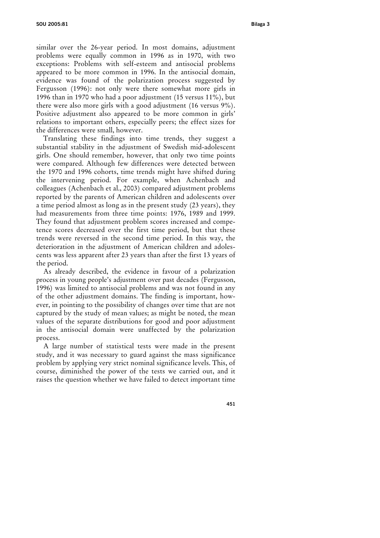similar over the 26-year period. In most domains, adjustment problems were equally common in 1996 as in 1970, with two exceptions: Problems with self-esteem and antisocial problems appeared to be more common in 1996. In the antisocial domain, evidence was found of the polarization process suggested by Fergusson (1996): not only were there somewhat more girls in 1996 than in 1970 who had a poor adjustment (15 versus 11%), but there were also more girls with a good adjustment (16 versus 9%). Positive adjustment also appeared to be more common in girls' relations to important others, especially peers; the effect sizes for the differences were small, however.

Translating these findings into time trends, they suggest a substantial stability in the adjustment of Swedish mid-adolescent girls. One should remember, however, that only two time points were compared. Although few differences were detected between the 1970 and 1996 cohorts, time trends might have shifted during the intervening period. For example, when Achenbach and colleagues (Achenbach et al., 2003) compared adjustment problems reported by the parents of American children and adolescents over a time period almost as long as in the present study (23 years), they had measurements from three time points: 1976, 1989 and 1999. They found that adjustment problem scores increased and competence scores decreased over the first time period, but that these trends were reversed in the second time period. In this way, the deterioration in the adjustment of American children and adolescents was less apparent after 23 years than after the first 13 years of the period.

As already described, the evidence in favour of a polarization process in young people's adjustment over past decades (Fergusson, 1996) was limited to antisocial problems and was not found in any of the other adjustment domains. The finding is important, however, in pointing to the possibility of changes over time that are not captured by the study of mean values; as might be noted, the mean values of the separate distributions for good and poor adjustment in the antisocial domain were unaffected by the polarization process.

A large number of statistical tests were made in the present study, and it was necessary to guard against the mass significance problem by applying very strict nominal significance levels. This, of course, diminished the power of the tests we carried out, and it raises the question whether we have failed to detect important time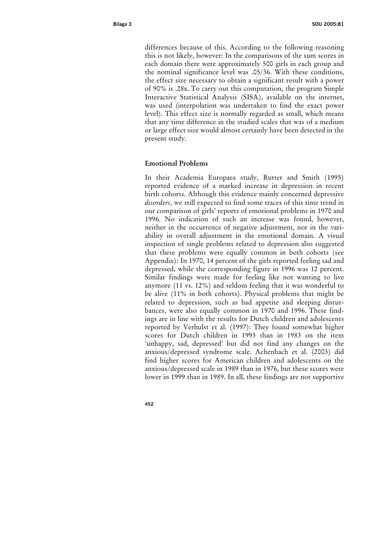differences because of this. According to the following reasoning this is not likely, however: In the comparisons of the sum scores in each domain there were approximately 500 girls in each group and the nominal significance level was .05/36. With these conditions, the effect size necessary to obtain a significant result with a power of 90% is .28x. To carry out this computation, the program Simple Interactive Statistical Analysis (SISA), available on the internet, was used (interpolation was undertaken to find the exact power level). This effect size is normally regarded as small, which means that any time difference in the studied scales that was of a medium or large effect size would almost certainly have been detected in the present study.

#### Emotional Problems

In their Academia Europaea study, Rutter and Smith (1995) reported evidence of a marked increase in depression in recent birth cohorts. Although this evidence mainly concerned depressive disorders, we still expected to find some traces of this time trend in our comparison of girls' reports of emotional problems in 1970 and 1996. No indication of such an increase was found, however, neither in the occurrence of negative adjustment, nor in the variability in overall adjustment in the emotional domain. A visual inspection of single problems related to depression also suggested that these problems were equally common in both cohorts (see Appendix): In 1970, 14 percent of the girls reported feeling sad and depressed, while the corresponding figure in 1996 was 12 percent. Similar findings were made for feeling like not wanting to live anymore (11 vs. 12%) and seldom feeling that it was wonderful to be alive (11% in both cohorts). Physical problems that might be related to depression, such as bad appetite and sleeping disturbances, were also equally common in 1970 and 1996. These findings are in line with the results for Dutch children and adolescents reported by Verhulst et al. (1997): They found somewhat higher scores for Dutch children in 1993 than in 1983 on the item 'unhappy, sad, depressed' but did not find any changes on the anxious/depressed syndrome scale. Achenbach et al. (2003) did find higher scores for American children and adolescents on the anxious/depressed scale in 1989 than in 1976, but these scores were lower in 1999 than in 1989. In all, these findings are not supportive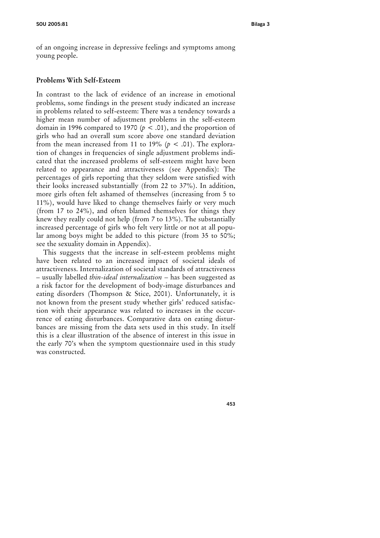of an ongoing increase in depressive feelings and symptoms among young people.

#### Problems With Self-Esteem

In contrast to the lack of evidence of an increase in emotional problems, some findings in the present study indicated an increase in problems related to self-esteem: There was a tendency towards a higher mean number of adjustment problems in the self-esteem domain in 1996 compared to 1970 ( $p < .01$ ), and the proportion of girls who had an overall sum score above one standard deviation from the mean increased from 11 to 19% ( $p < .01$ ). The exploration of changes in frequencies of single adjustment problems indicated that the increased problems of self-esteem might have been related to appearance and attractiveness (see Appendix): The percentages of girls reporting that they seldom were satisfied with their looks increased substantially (from 22 to 37%). In addition, more girls often felt ashamed of themselves (increasing from 5 to 11%), would have liked to change themselves fairly or very much (from 17 to 24%), and often blamed themselves for things they knew they really could not help (from 7 to 13%). The substantially increased percentage of girls who felt very little or not at all popular among boys might be added to this picture (from 35 to 50%; see the sexuality domain in Appendix).

This suggests that the increase in self-esteem problems might have been related to an increased impact of societal ideals of attractiveness. Internalization of societal standards of attractiveness – usually labelled thin-ideal internalization – has been suggested as a risk factor for the development of body-image disturbances and eating disorders (Thompson & Stice, 2001). Unfortunately, it is not known from the present study whether girls' reduced satisfaction with their appearance was related to increases in the occurrence of eating disturbances. Comparative data on eating disturbances are missing from the data sets used in this study. In itself this is a clear illustration of the absence of interest in this issue in the early 70's when the symptom questionnaire used in this study was constructed.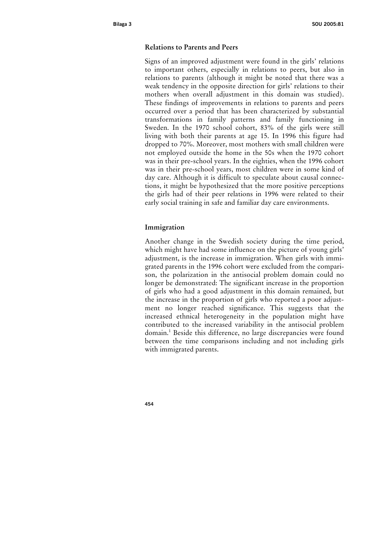# Relations to Parents and Peers

Signs of an improved adjustment were found in the girls' relations to important others, especially in relations to peers, but also in relations to parents (although it might be noted that there was a weak tendency in the opposite direction for girls' relations to their mothers when overall adjustment in this domain was studied). These findings of improvements in relations to parents and peers occurred over a period that has been characterized by substantial transformations in family patterns and family functioning in Sweden. In the 1970 school cohort, 83% of the girls were still living with both their parents at age 15. In 1996 this figure had dropped to 70%. Moreover, most mothers with small children were not employed outside the home in the 50s when the 1970 cohort was in their pre-school years. In the eighties, when the 1996 cohort was in their pre-school years, most children were in some kind of day care. Although it is difficult to speculate about causal connections, it might be hypothesized that the more positive perceptions the girls had of their peer relations in 1996 were related to their early social training in safe and familiar day care environments.

## Immigration

Another change in the Swedish society during the time period, which might have had some influence on the picture of young girls' adjustment, is the increase in immigration. When girls with immigrated parents in the 1996 cohort were excluded from the comparison, the polarization in the antisocial problem domain could no longer be demonstrated: The significant increase in the proportion of girls who had a good adjustment in this domain remained, but the increase in the proportion of girls who reported a poor adjustment no longer reached significance. This suggests that the increased ethnical heterogeneity in the population might have contributed to the increased variability in the antisocial problem domain.<sup>1</sup> Beside this difference, no large discrepancies were found between the time comparisons including and not including girls with immigrated parents.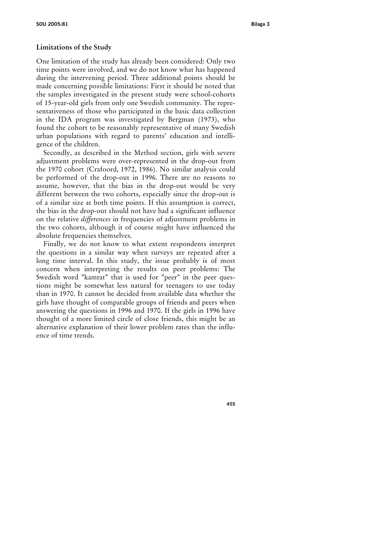#### Limitations of the Study

One limitation of the study has already been considered: Only two time points were involved, and we do not know what has happened during the intervening period. Three additional points should be made concerning possible limitations: First it should be noted that the samples investigated in the present study were school-cohorts of 15-year-old girls from only one Swedish community. The representativeness of those who participated in the basic data collection in the IDA program was investigated by Bergman (1973), who found the cohort to be reasonably representative of many Swedish urban populations with regard to parents' education and intelligence of the children.

Secondly, as described in the Method section, girls with severe adjustment problems were over-represented in the drop-out from the 1970 cohort (Crafoord, 1972, 1986). No similar analysis could be performed of the drop-out in 1996. There are no reasons to assume, however, that the bias in the drop-out would be very different between the two cohorts, especially since the drop-out is of a similar size at both time points. If this assumption is correct, the bias in the drop-out should not have had a significant influence on the relative differences in frequencies of adjustment problems in the two cohorts, although it of course might have influenced the absolute frequencies themselves.

Finally, we do not know to what extent respondents interpret the questions in a similar way when surveys are repeated after a long time interval. In this study, the issue probably is of most concern when interpreting the results on peer problems: The Swedish word "kamrat" that is used for "peer" in the peer questions might be somewhat less natural for teenagers to use today than in 1970. It cannot be decided from available data whether the girls have thought of comparable groups of friends and peers when answering the questions in 1996 and 1970. If the girls in 1996 have thought of a more limited circle of close friends, this might be an alternative explanation of their lower problem rates than the influence of time trends.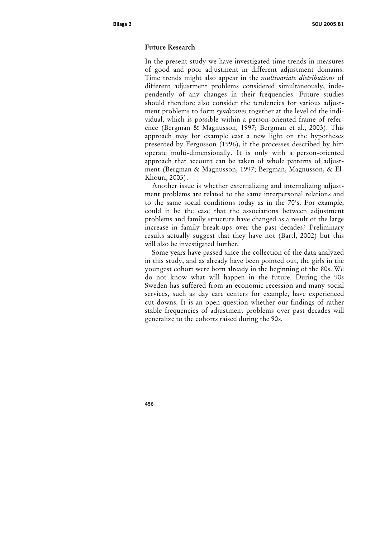#### Future Research

In the present study we have investigated time trends in measures of good and poor adjustment in different adjustment domains. Time trends might also appear in the multivariate distributions of different adjustment problems considered simultaneously, independently of any changes in their frequencies. Future studies should therefore also consider the tendencies for various adjustment problems to form *syndromes* together at the level of the individual, which is possible within a person-oriented frame of reference (Bergman & Magnusson, 1997; Bergman et al., 2003). This approach may for example cast a new light on the hypotheses presented by Fergusson (1996), if the processes described by him operate multi-dimensionally. It is only with a person-oriented approach that account can be taken of whole patterns of adjustment (Bergman & Magnusson, 1997; Bergman, Magnusson, & El-Khouri, 2003).

Another issue is whether externalizing and internalizing adjustment problems are related to the same interpersonal relations and to the same social conditions today as in the 70's. For example, could it be the case that the associations between adjustment problems and family structure have changed as a result of the large increase in family break-ups over the past decades? Preliminary results actually suggest that they have not (Bartl, 2002) but this will also be investigated further.

Some years have passed since the collection of the data analyzed in this study, and as already have been pointed out, the girls in the youngest cohort were born already in the beginning of the 80s. We do not know what will happen in the future. During the 90s Sweden has suffered from an economic recession and many social services, such as day care centers for example, have experienced cut-downs. It is an open question whether our findings of rather stable frequencies of adjustment problems over past decades will generalize to the cohorts raised during the 90s.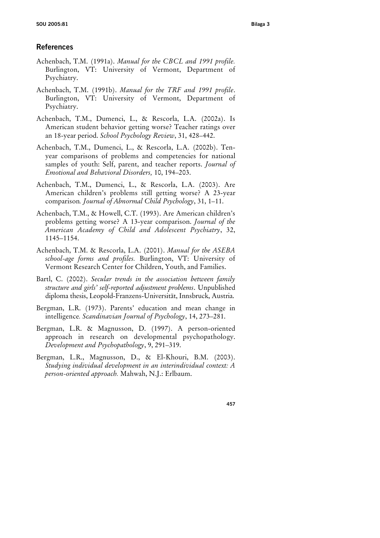- <span id="page-24-0"></span>Achenbach, T.M. (1991a). Manual for the CBCL and 1991 profile. Burlington, VT: University of Vermont, Department of Psychiatry.
- Achenbach, T.M. (1991b). Manual for the TRF and 1991 profile. Burlington, VT: University of Vermont, Department of Psychiatry.
- Achenbach, T.M., Dumenci, L., & Rescorla, L.A. (2002a). Is American student behavior getting worse? Teacher ratings over an 18-year period. School Psychology Review, 31, 428–442.
- Achenbach, T.M., Dumenci, L., & Rescorla, L.A. (2002b). Tenyear comparisons of problems and competencies for national samples of youth: Self, parent, and teacher reports. Journal of Emotional and Behavioral Disorders, 10, 194–203.
- Achenbach, T.M., Dumenci, L., & Rescorla, L.A. (2003). Are American children's problems still getting worse? A 23-year comparison. Journal of Abnormal Child Psychology, 31, 1–11.
- Achenbach, T.M., & Howell, C.T. (1993). Are American children's problems getting worse? A 13-year comparison. Journal of the American Academy of Child and Adolescent Psychiatry, 32, 1145–1154.
- Achenbach, T.M. & Rescorla, L.A. (2001). Manual for the ASEBA school-age forms and profiles. Burlington, VT: University of Vermont Research Center for Children, Youth, and Families.
- Bartl, C. (2002). Secular trends in the association between family structure and girls' self-reported adjustment problems. Unpublished diploma thesis, Leopold-Franzens-Universität, Innsbruck, Austria.
- Bergman, L.R. (1973). Parents' education and mean change in intelligence. Scandinavian Journal of Psychology, 14, 273–281.
- Bergman, L.R. & Magnusson, D. (1997). A person-oriented approach in research on developmental psychopathology. Development and Psychopathology, 9, 291–319.
- Bergman, L.R., Magnusson, D., & El-Khouri, B.M. (2003). Studying individual development in an interindividual context: A person-oriented approach. Mahwah, N.J.: Erlbaum.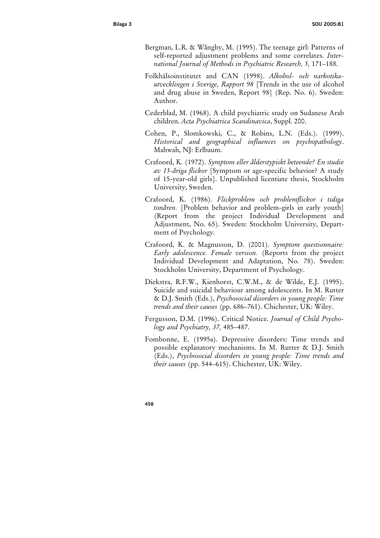- Bergman, L.R. & Wångby, M. (1995). The teenage girl: Patterns of self-reported adjustment problems and some correlates. International Journal of Methods in Psychiatric Research, 5, 171–188.
- Folkhälsoinstitutet and CAN (1998). Alkohol- och narkotikautvecklingen i Sverige, Rapport 98 [Trends in the use of alcohol and drug abuse in Sweden, Report 98] (Rep. No. 6). Sweden: Author.
- Cederblad, M. (1968). A child psychiatric study on Sudanese Arab children. Acta Psychiatrica Scandinavica, Suppl. 200.
- Cohen, P., Slomkowski, C., & Robins, L.N. (Eds.). (1999). Historical and geographical influences on psychopathology. Mahwah, NJ: Erlbaum.
- Crafoord, K. (1972). Symptom eller ålderstypiskt beteende? En studie av 15-åriga flickor [Symptom or age-specific behavior? A study of 15-year-old girls]. Unpublished licentiate thesis, Stockholm University, Sweden.
- Crafoord, K. (1986). Flickproblem och problemflickor i tidiga tonåren. [Problem behavior and problem-girls in early youth] (Report from the project Individual Development and Adjustment, No. 65). Sweden: Stockholm University, Department of Psychology.
- Crafoord, K. & Magnusson, D. (2001). Symptom questionnaire: Early adolescence. Female version. (Reports from the project Individual Development and Adaptation, No. 78). Sweden: Stockholm University, Department of Psychology.
- Diekstra, R.F.W., Kienhorst, C.W.M., & de Wilde, E.J. (1995). Suicide and suicidal behaviour among adolescents. In M. Rutter & D.J. Smith (Eds.), Psychosocial disorders in young people: Time trends and their causes (pp. 686–761). Chichester, UK: Wiley.
- Fergusson, D.M. (1996). Critical Notice. Journal of Child Psychology and Psychiatry, 37, 485–487.
- Fombonne, E. (1995a). Depressive disorders: Time trends and possible explanatory mechanisms. In M. Rutter & D.J. Smith (Eds.), Psychosocial disorders in young people: Time trends and their causes (pp. 544–615). Chichester, UK: Wiley.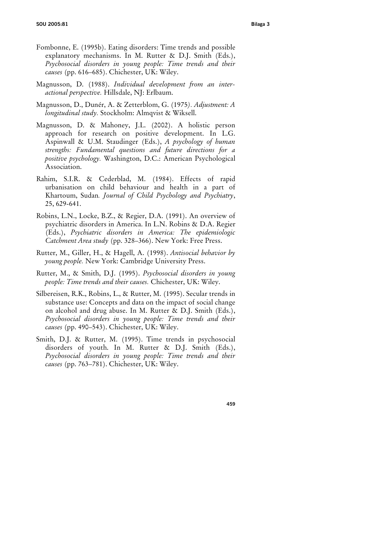- Fombonne, E. (1995b). Eating disorders: Time trends and possible explanatory mechanisms. In M. Rutter & D.J. Smith (Eds.), Psychosocial disorders in young people: Time trends and their causes (pp. 616–685). Chichester, UK: Wiley.
- Magnusson, D. (1988). Individual development from an interactional perspective. Hillsdale, NJ: Erlbaum.
- Magnusson, D., Dunér, A. & Zetterblom, G. (1975). Adjustment: A longitudinal study. Stockholm: Almqvist & Wiksell.
- Magnusson, D. & Mahoney, J.L. (2002). A holistic person approach for research on positive development. In L.G. Aspinwall & U.M. Staudinger (Eds.), A psychology of human strengths: Fundamental questions and future directions for a positive psychology. Washington, D.C.: American Psychological Association.
- Rahim, S.I.R. & Cederblad, M. (1984). Effects of rapid urbanisation on child behaviour and health in a part of Khartoum, Sudan. Journal of Child Psychology and Psychiatry, 25, 629-641.
- Robins, L.N., Locke, B.Z., & Regier, D.A. (1991). An overview of psychiatric disorders in America. In L.N. Robins & D.A. Regier (Eds.), Psychiatric disorders in America: The epidemiologic Catchment Area study (pp. 328–366). New York: Free Press.
- Rutter, M., Giller, H., & Hagell, A. (1998). Antisocial behavior by young people. New York: Cambridge University Press.
- Rutter, M., & Smith, D.J. (1995). Psychosocial disorders in young people: Time trends and their causes. Chichester, UK: Wiley.
- Silbereisen, R.K., Robins, L., & Rutter, M. (1995). Secular trends in substance use: Concepts and data on the impact of social change on alcohol and drug abuse. In M. Rutter & D.J. Smith (Eds.), Psychosocial disorders in young people: Time trends and their causes (pp. 490–543). Chichester, UK: Wiley.
- Smith, D.J. & Rutter, M. (1995). Time trends in psychosocial disorders of youth. In M. Rutter & D.J. Smith (Eds.), Psychosocial disorders in young people: Time trends and their causes (pp. 763–781). Chichester, UK: Wiley.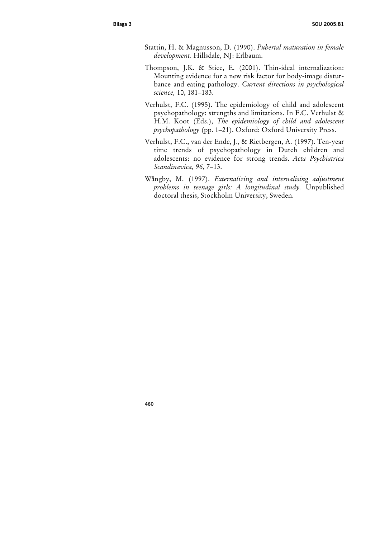- Stattin, H. & Magnusson, D. (1990). Pubertal maturation in female development. Hillsdale, NJ: Erlbaum.
- Thompson, J.K. & Stice, E. (2001). Thin-ideal internalization: Mounting evidence for a new risk factor for body-image disturbance and eating pathology. Current directions in psychological science, 10, 181–183.
- Verhulst, F.C. (1995). The epidemiology of child and adolescent psychopathology: strengths and limitations. In F.C. Verhulst & H.M. Koot (Eds.), The epidemiology of child and adolescent psychopathology (pp. 1–21). Oxford: Oxford University Press.
- Verhulst, F.C., van der Ende, J., & Rietbergen, A. (1997). Ten-year time trends of psychopathology in Dutch children and adolescents: no evidence for strong trends. Acta Psychiatrica Scandinavica, 96, 7–13.
- Wångby, M. (1997). Externalizing and internalising adjustment problems in teenage girls: A longitudinal study. Unpublished doctoral thesis, Stockholm University, Sweden.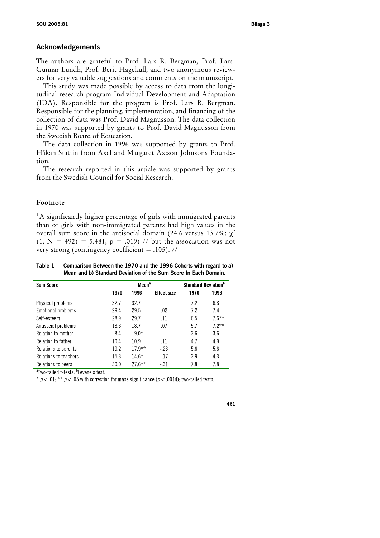### <span id="page-28-0"></span>Acknowledgements

The authors are grateful to Prof. Lars R. Bergman, Prof. Lars-Gunnar Lundh, Prof. Berit Hagekull, and two anonymous reviewers for very valuable suggestions and comments on the manuscript.

This study was made possible by access to data from the longitudinal research program Individual Development and Adaptation (IDA). Responsible for the program is Prof. Lars R. Bergman. Responsible for the planning, implementation, and financing of the collection of data was Prof. David Magnusson. The data collection in 1970 was supported by grants to Prof. David Magnusson from the Swedish Board of Education.

The data collection in 1996 was supported by grants to Prof. Håkan Stattin from Axel and Margaret Ax:son Johnsons Foundation.

The research reported in this article was supported by grants from the Swedish Council for Social Research.

#### Footnote

<sup>1</sup>A significantly higher percentage of girls with immigrated parents than of girls with non-immigrated parents had high values in the overall sum score in the antisocial domain (24.6 versus 13.7%;  $\chi^2$  $(1, N = 492) = 5.481, p = .019$  // but the association was not very strong (contingency coefficient = .105). //

Table 1 Comparison Between the 1970 and the 1996 Cohorts with regard to a) Mean and b) Standard Deviation of the Sum Score In Each Domain.

| <b>Sum Score</b>          |      | Mean <sup>a</sup> | Standard Deviation <sup>b</sup> |      |          |
|---------------------------|------|-------------------|---------------------------------|------|----------|
|                           | 1970 | 1996              | <b>Effect size</b>              | 1970 | 1996     |
| Physical problems         | 32.7 | 32.7              |                                 | 7.2  | 6.8      |
| <b>Emotional problems</b> | 29.4 | 29.5              | .02                             | 7.2  | 7.4      |
| Self-esteem               | 28.9 | 29.7              | .11                             | 6.5  | $7.6***$ |
| Antisocial problems       | 18.3 | 18.7              | .07                             | 5.7  | $7.2**$  |
| Relation to mother        | 8.4  | $9.0*$            |                                 | 3.6  | 3.6      |
| Relation to father        | 10.4 | 10.9              | .11                             | 4.7  | 4.9      |
| Relations to parents      | 19.2 | $17.9**$          | $-23$                           | 5.6  | 5.6      |
| Relations to teachers     | 15.3 | $14.6*$           | $-17$                           | 3.9  | 4.3      |
| Relations to peers        | 30.0 | $27.6***$         | $-.31$                          | 7.8  | 7.8      |

<sup>a</sup>Two-tailed t-tests. <sup>b</sup>Levene's test.

\*  $p < .01$ ; \*\*  $p < .05$  with correction for mass significance ( $p < .0014$ ); two-tailed tests.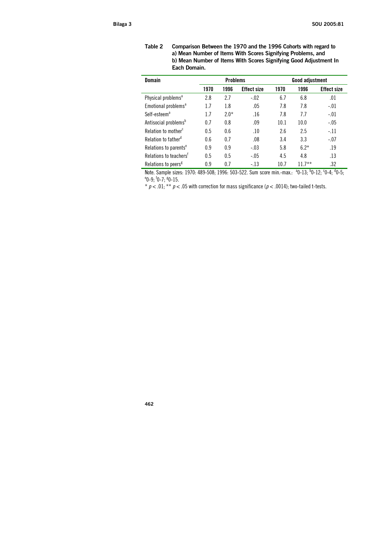Table 2 Comparison Between the 1970 and the 1996 Cohorts with regard to a) Mean Number of Items With Scores Signifying Problems, and b) Mean Number of Items With Scores Signifying Good Adjustment In Each Domain.

| Domain                             | <b>Problems</b> |        |                    | <b>Good adjustment</b> |          |                    |
|------------------------------------|-----------------|--------|--------------------|------------------------|----------|--------------------|
|                                    | 1970            | 1996   | <b>Effect size</b> | 1970                   | 1996     | <b>Effect size</b> |
| Physical problems <sup>a</sup>     | 2.8             | 2.7    | $-.02$             | 6.7                    | 6.8      | .01                |
| Emotional problems <sup>a</sup>    | 1.7             | 1.8    | .05                | 7.8                    | 7.8      | $-.01$             |
| Self-esteem <sup>a</sup>           | 1.7             | $2.0*$ | .16                | 7.8                    | 7.7      | $-.01$             |
| Antisocial problems <sup>b</sup>   | 0.7             | 0.8    | .09                | 10.1                   | 10.0     | $-.05$             |
| Relation to mother <sup>c</sup>    | 0.5             | 0.6    | .10                | 2.6                    | 2.5      | $-.11$             |
| Relation to father <sup>d</sup>    | 0.6             | 0.7    | .08                | 3.4                    | 3.3      | $-.07$             |
| Relations to parents <sup>e</sup>  | 0.9             | 0.9    | $-.03$             | 5.8                    | $6.2*$   | .19                |
| Relations to teachers <sup>f</sup> | 0.5             | 0.5    | $-.05$             | 4.5                    | 4.8      | .13                |
| Relations to peers <sup>g</sup>    | 0.9             | 0.7    | $-.13$             | 10.7                   | $11.7**$ | .32                |

Note. Sample sizes: 1970: 489-508; 1996: 503-522. Sum score min.-max.:  $^{\circ}$ 0-13;  $^{\circ}$ 0-12;  $^{\circ}$ 0-4;  $^{\circ}$ 0-5;  $e^{e}$ 0-9;  $e^{f}$ 0-7;  $e^{g}$ 0-15.

\*  $p < .01$ ; \*\*  $p < .05$  with correction for mass significance ( $p < .0014$ ); two-tailed t-tests.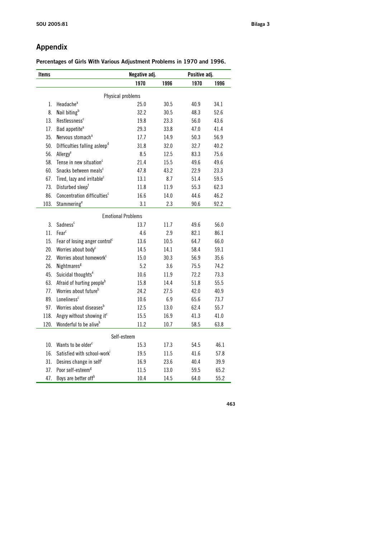# <span id="page-30-0"></span>Appendix

Percentages of Girls With Various Adjustment Problems in 1970 and 1996.

| Items |                                           | Negative adj. |      | Positive adj. |      |
|-------|-------------------------------------------|---------------|------|---------------|------|
|       |                                           | 1970          | 1996 | 1970          | 1996 |
|       | Physical problems                         |               |      |               |      |
| 1.    | Headache <sup>a</sup>                     | 25.0          | 30.5 | 40.9          | 34.1 |
| 8.    | Nail biting <sup>b</sup>                  | 32.2          | 30.5 | 48.3          | 52.6 |
| 13.   | Restlessness <sup>c</sup>                 | 19.8          | 23.3 | 56.0          | 43.6 |
| 17.   | Bad appetite <sup>a</sup>                 | 29.3          | 33.8 | 47.0          | 41.4 |
| 35.   | Nervous stomach <sup>a</sup>              | 17.7          | 14.9 | 50.3          | 56.9 |
| 50.   | Difficulties falling asleep <sup>d</sup>  | 31.8          | 32.0 | 32.7          | 40.2 |
| 56.   | Allergy <sup>e</sup>                      | 8.5           | 12.5 | 83.3          | 75.6 |
| 58.   | Tense in new situation <sup>c</sup>       | 21.4          | 15.5 | 49.6          | 49.6 |
| 60.   | Snacks between meals <sup>c</sup>         | 47.8          | 43.2 | 22.9          | 23.3 |
| 67.   | Tired, lazy and irritable <sup>c</sup>    | 13.1          | 8.7  | 51.4          | 59.5 |
| 73.   | Disturbed sleep <sup>f</sup>              | 11.8          | 11.9 | 55.3          | 62.3 |
| 86.   | Concentration difficulties <sup>c</sup>   | 16.6          | 14.0 | 44.6          | 46.2 |
| 103.  | Stammering <sup>e</sup>                   | 3.1           | 2.3  | 90.6          | 92.2 |
|       | <b>Emotional Problems</b>                 |               |      |               |      |
| 3.    | Sadness <sup>c</sup>                      | 13.7          | 11.7 | 49.6          | 56.0 |
| 11.   | Fear <sup>c</sup>                         | 4.6           | 2.9  | 82.1          | 86.1 |
| 15.   | Fear of losing anger control <sup>c</sup> | 13.6          | 10.5 | 64.7          | 66.0 |
| 20.   | Worries about body <sup>c</sup>           | 14.5          | 14.1 | 58.4          | 59.1 |
| 22.   | Worries about homework <sup>c</sup>       | 15.0          | 30.3 | 56.9          | 35.6 |
| 26.   | <b>Nightmares<sup>g</sup></b>             | 5.2           | 3.6  | 75.5          | 74.2 |
| 45.   | Suicidal thoughts <sup>e</sup>            | 10.6          | 11.9 | 72.2          | 73.3 |
| 63.   | Afraid of hurting people <sup>b</sup>     | 15.8          | 14.4 | 51.8          | 55.5 |
| 77.   | Worries about future <sup>b</sup>         | 24.2          | 27.5 | 42.0          | 40.9 |
| 89.   | Loneliness <sup>c</sup>                   | 10.6          | 6.9  | 65.6          | 73.7 |
| 97.   | Worries about diseases <sup>b</sup>       | 12.5          | 13.0 | 62.4          | 55.7 |
| 118.  | Angry without showing it <sup>c</sup>     | 15.5          | 16.9 | 41.3          | 41.0 |
| 120.  | Wonderful to be alive <sup>h</sup>        | 11.2          | 10.7 | 58.5          | 63.8 |
|       |                                           | Self-esteem   |      |               |      |
| 10.   | Wants to be older <sup>c</sup>            | 15.3          | 17.3 | 54.5          | 46.1 |
| 16.   | Satisfied with school-worki               | 19.5          | 11.5 | 41.6          | 57.8 |
| 31.   | Desires change in self <sup>j</sup>       | 16.9          | 23.6 | 40.4          | 39.9 |
| 37.   | Poor self-esteem <sup>g</sup>             | 11.5          | 13.0 | 59.5          | 65.2 |
| 47.   | Boys are better off <sup>b</sup>          | 10.4          | 14.5 | 64.0          | 55.2 |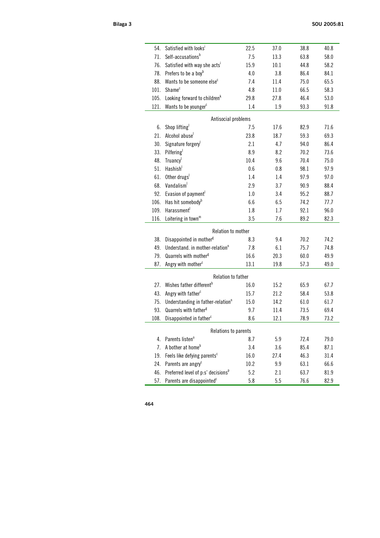| 54.                | Satisfied with looks'                                                              | 22.5 | 37.0 | 38.8         | 40.8 |  |  |
|--------------------|------------------------------------------------------------------------------------|------|------|--------------|------|--|--|
| 71.                | Self-accusations <sup>b</sup>                                                      | 7.5  | 13.3 | 63.8         | 58.0 |  |  |
| 76.                | Satisfied with way she acts <sup>i</sup>                                           | 15.9 | 10.1 | 44.8         | 58.2 |  |  |
| 78.                | Prefers to be a boy <sup>b</sup>                                                   | 4.0  | 3.8  | 86.4         | 84.1 |  |  |
| 88.                | Wants to be someone else <sup>c</sup>                                              | 7.4  | 11.4 | 75.0         | 65.5 |  |  |
| 101.               | Shame <sup>c</sup>                                                                 | 4.8  | 11.0 | 66.5         | 58.3 |  |  |
| 105.               | Looking forward to children <sup>k</sup>                                           | 29.8 | 27.8 | 46.4         | 53.0 |  |  |
| 121.               | Wants to be younger <sup>c</sup>                                                   | 1.4  | 1.9  | 93.3         | 91.8 |  |  |
|                    | Antisocial problems                                                                |      |      |              |      |  |  |
| 6.                 | Shop lifting                                                                       | 7.5  | 17.6 | 82.9         | 71.6 |  |  |
| 21.                | Alcohol abuse                                                                      | 23.8 | 18.7 | 59.3         | 69.3 |  |  |
| 30.                | Signature forgery                                                                  | 2.1  | 4.7  | 94.0         | 86.4 |  |  |
| 33.                | Pilfering                                                                          | 8.9  | 8.2  | 70.2         | 73.6 |  |  |
| 48.                | Truancy                                                                            | 10.4 | 9.6  | 70.4         | 75.0 |  |  |
| 51.                | Hashish <sup>1</sup>                                                               | 0.6  | 0.8  | 98.1         | 97.9 |  |  |
| 61.                | Other drugs <sup>1</sup>                                                           | 1.4  | 1.4  | 97.9         | 97.0 |  |  |
| 68.                | Vandalism <sup>1</sup>                                                             | 2.9  | 3.7  | 90.9         | 88.4 |  |  |
| 92.                | Evasion of payment                                                                 | 1.0  | 3.4  | 95.2         | 88.7 |  |  |
| 106.               | Has hit somebody <sup>b</sup>                                                      | 6.6  | 6.5  | 74.2         | 77.7 |  |  |
| 109.               | Harassment <sup>1</sup>                                                            | 1.8  | 1.7  | 92.1         | 96.0 |  |  |
| 116.               | Loitering in town <sup>m</sup>                                                     | 3.5  | 7.6  | 89.2         | 82.3 |  |  |
| Relation to mother |                                                                                    |      |      |              |      |  |  |
| 38.                | Disappointed in mother <sup>g</sup>                                                | 8.3  | 9.4  | 70.2         | 74.2 |  |  |
| 49.                | Understand. in mother-relation <sup>n</sup>                                        | 7.8  | 6.1  | 75.7         | 74.8 |  |  |
| 79.                | Quarrels with mother <sup>g</sup>                                                  | 16.6 | 20.3 | 60.0         | 49.9 |  |  |
| 87.                | Angry with mother <sup>c</sup>                                                     | 13.1 | 19.8 | 57.3         | 49.0 |  |  |
|                    |                                                                                    |      |      |              |      |  |  |
|                    | Relation to father                                                                 |      |      |              |      |  |  |
| 27.                | Wishes father different <sup>b</sup>                                               | 16.0 | 15.2 | 65.9         | 67.7 |  |  |
| 43.                | Angry with father <sup>c</sup>                                                     | 15.7 | 21.2 | 58.4         | 53.8 |  |  |
| 75.                | Understanding in father-relation <sup>n</sup><br>Quarrels with father <sup>g</sup> | 15.0 | 14.2 | 61.0         | 61.7 |  |  |
| 93.                |                                                                                    | 9.7  | 11.4 | 73.5<br>78.9 | 69.4 |  |  |
| 108.               | Disappointed in father <sup>c</sup>                                                | 8.6  | 12.1 |              | 73.2 |  |  |
|                    | Relations to parents                                                               |      |      |              |      |  |  |
| 4.                 | Parents listen <sup>o</sup>                                                        | 8.7  | 5.9  | 72.4         | 79.0 |  |  |
| 7.                 | A bother at home <sup>b</sup>                                                      | 3.4  | 3.6  | 85.4         | 87.1 |  |  |
| 19.                | Feels like defying parents <sup>c</sup>                                            | 16.0 | 27.4 | 46.3         | 31.4 |  |  |
| 24.                | Parents are angry <sup>c</sup>                                                     | 10.2 | 9.9  | 63.1         | 66.6 |  |  |
| 46.                | Preferred level of p:s' decisions <sup>p</sup>                                     | 5.2  | 2.1  | 63.7         | 81.9 |  |  |
| 57.                | Parents are disappointed <sup>c</sup>                                              | 5.8  | 5.5  | 76.6         | 82.9 |  |  |
|                    |                                                                                    |      |      |              |      |  |  |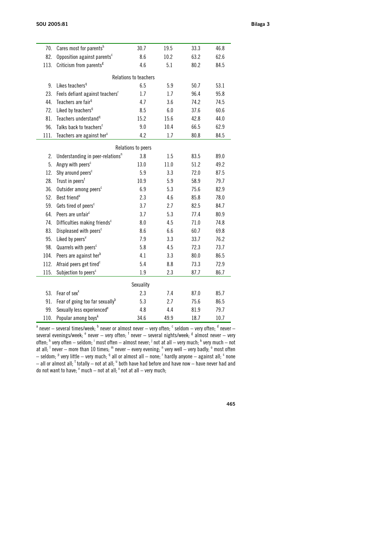| 70.  | Cares most for parentsh                      | 30.7                         | 19.5 | 33.3 | 46.8 |
|------|----------------------------------------------|------------------------------|------|------|------|
| 82.  | Opposition against parents <sup>c</sup>      | 8.6                          | 10.2 | 63.2 | 62.6 |
| 113. | Criticism from parents <sup>g</sup>          | 4.6                          | 5.1  | 80.2 | 84.5 |
|      |                                              | <b>Relations to teachers</b> |      |      |      |
| 9.   | Likes teachers <sup>q</sup>                  | 6.5                          | 5.9  | 50.7 | 53.1 |
| 23.  | Feels defiant against teachers'              | 1.7                          | 1.7  | 96.4 | 95.8 |
| 44.  | Teachers are fair <sup>q</sup>               | 4.7                          | 3.6  | 74.2 | 74.5 |
| 72.  | Liked by teachers <sup>q</sup>               | 8.5                          | 6.0  | 37.6 | 60.6 |
| 81.  | Teachers understand <sup>q</sup>             | 15.2                         | 15.6 | 42.8 | 44.0 |
| 96.  | Talks back to teachers <sup>c</sup>          | 9.0                          | 10.4 | 66.5 | 62.9 |
| 111. | Teachers are against her <sup>s</sup>        | 4.2                          | 1.7  | 80.8 | 84.5 |
|      |                                              | Relations to peers           |      |      |      |
| 2.   | Understanding in peer-relations <sup>n</sup> | 3.8                          | 1.5  | 83.5 | 89.0 |
| 5.   | Angry with peers <sup>c</sup>                | 13.0                         | 11.0 | 51.2 | 49.2 |
| 12.  | Shy around peers <sup>c</sup>                | 5.9                          | 3.3  | 72.0 | 87.5 |
| 28.  | Trust in peers <sup>t</sup>                  | 10.9                         | 5.9  | 58.9 | 79.7 |
| 36.  | Outsider among peers <sup>c</sup>            | 6.9                          | 5.3  | 75.6 | 82.9 |
| 52.  | Best friend <sup>u</sup>                     | 2.3                          | 4.6  | 85.8 | 78.0 |
| 59.  | Gets tired of peers <sup>c</sup>             | 3.7                          | 2.7  | 82.5 | 84.7 |
| 64.  | Peers are unfair <sup>c</sup>                | 3.7                          | 5.3  | 77.4 | 80.9 |
| 74.  | Difficulties making friends <sup>c</sup>     | 8.0                          | 4.5  | 71.0 | 74.8 |
| 83.  | Displeased with peers <sup>c</sup>           | 8.6                          | 6.6  | 60.7 | 69.8 |
| 95.  | Liked by peers <sup>v</sup>                  | 7.9                          | 3.3  | 33.7 | 76.2 |
| 98.  | Quarrels with peers <sup>c</sup>             | 5.8                          | 4.5  | 72.3 | 73.7 |
| 104. | Peers are against her <sup>b</sup>           | 4.1                          | 3.3  | 80.0 | 86.5 |
| 112. | Afraid peers get tired <sup>c</sup>          | 5.4                          | 8.8  | 73.3 | 72.9 |
| 115. | Subjection to peers <sup>c</sup>             | 1.9                          | 2.3  | 87.7 | 86.7 |
|      |                                              | Sexuality                    |      |      |      |
| 53.  | Fear of sex <sup>x</sup>                     | 2.3                          | 7.4  | 87.0 | 85.7 |
| 91.  | Fear of going too far sexuallyb              | 5.3                          | 2.7  | 75.6 | 86.5 |
| 99.  | Sexually less experienced <sup>e</sup>       | 4.8                          | 4.4  | 81.9 | 79.7 |
| 110. | Popular among boys <sup>k</sup>              | 34.6                         | 49.9 | 18.7 | 10.7 |

 $^{\rm a}$  never — several times/week;  $^{\rm b}$  never or almost never — very often;  $^{\rm c}$  seldom — very often;  $^{\rm d}$  never several evenings/week; <sup>e</sup> never — very often; <sup>f</sup> never — several nights/week; <sup>g</sup> almost never — very often; <sup>h</sup> very often — seldom; <sup>i</sup> most often — almost never; <sup>j</sup> not at all — very much; <sup>k</sup> very much — not at all;  $^{\text{!}}$  never — more than 10 times;  $^{\text{m}}$  never — every evening;  $^{\text{n}}$  very well — very badly;  $^{\text{o}}$  most often – seldom;  $^{\text{p}}$  very little – very much;  $^{\text{q}}$  all or almost all – none;  $^{\text{r}}$  hardly anyone – against all;  $^{\text{s}}$  none  $-$  all or almost all;  $^{\rm t}$  totally  $-$  not at all;  $^{\rm u}$  both have had before and have now  $-$  have never had and do not want to have;  $\sqrt{v}$  much – not at all;  $\sqrt{x}$  not at all – very much;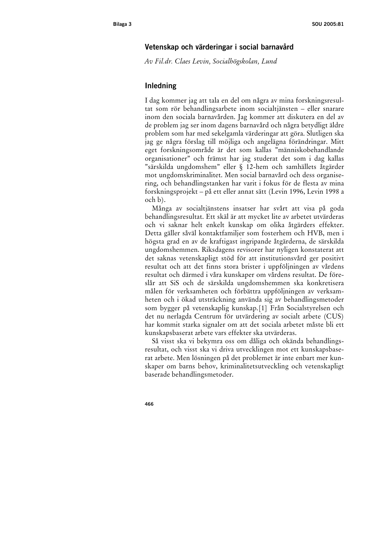# <span id="page-33-0"></span>Vetenskap och värderingar i social barnavård

Av Fil.dr. Claes Levin, Socialhögskolan, Lund

# Inledning

I dag kommer jag att tala en del om några av mina forskningsresultat som rör behandlingsarbete inom socialtjänsten – eller snarare inom den sociala barnavården. Jag kommer att diskutera en del av de problem jag ser inom dagens barnavård och några betydligt äldre problem som har med sekelgamla värderingar att göra. Slutligen ska jag ge några förslag till möjliga och angelägna förändringar. Mitt eget forskningsområde är det som kallas "människobehandlande organisationer" och främst har jag studerat det som i dag kallas "särskilda ungdomshem" eller § 12-hem och samhällets åtgärder mot ungdomskriminalitet. Men social barnavård och dess organisering, och behandlingstanken har varit i fokus för de flesta av mina forskningsprojekt – på ett eller annat sätt (Levin 1996, Levin 1998 a och b).

Många av socialtjänstens insatser har svårt att visa på goda behandlingsresultat. Ett skäl är att mycket lite av arbetet utvärderas och vi saknar helt enkelt kunskap om olika åtgärders effekter. Detta gäller såväl kontaktfamiljer som fosterhem och HVB, men i högsta grad en av de kraftigast ingripande åtgärderna, de särskilda ungdomshemmen. Riksdagens revisorer har nyligen konstaterat att det saknas vetenskapligt stöd för att institutionsvård ger positivt resultat och att det finns stora brister i uppföljningen av vårdens resultat och därmed i våra kunskaper om vårdens resultat. De föreslår att SiS och de särskilda ungdomshemmen ska konkretisera målen för verksamheten och förbättra uppföljningen av verksamheten och i ökad utsträckning använda sig av behandlingsmetoder som bygger på vetenskaplig kunskap.[1] Från Socialstyrelsen och det nu nerlagda Centrum för utvärdering av socialt arbete (CUS) har kommit starka signaler om att det sociala arbetet måste bli ett kunskapsbaserat arbete vars effekter ska utvärderas.

Så visst ska vi bekymra oss om dåliga och okända behandlingsresultat, och visst ska vi driva utvecklingen mot ett kunskapsbaserat arbete. Men lösningen på det problemet är inte enbart mer kunskaper om barns behov, kriminalitetsutveckling och vetenskapligt baserade behandlingsmetoder.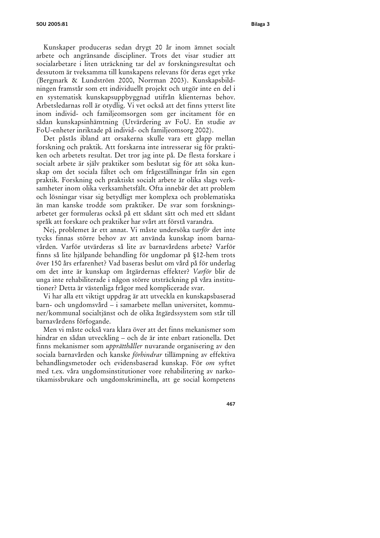Kunskaper produceras sedan drygt 20 år inom ämnet socialt arbete och angränsande discipliner. Trots det visar studier att socialarbetare i liten uträckning tar del av forskningsresultat och dessutom är tveksamma till kunskapens relevans för deras eget yrke (Bergmark & Lundström 2000, Norrman 2003). Kunskapsbildningen framstår som ett individuellt projekt och utgör inte en del i en systematisk kunskapsuppbyggnad utifrån klienternas behov. Arbetsledarnas roll är otydlig. Vi vet också att det finns ytterst lite inom individ- och familjeomsorgen som ger incitament för en sådan kunskapsinhämtning (Utvärdering av FoU. En studie av FoU-enheter inriktade på individ- och familjeomsorg 2002).

Det påstås ibland att orsakerna skulle vara ett glapp mellan forskning och praktik. Att forskarna inte intresserar sig för praktiken och arbetets resultat. Det tror jag inte på. De flesta forskare i socialt arbete är själv praktiker som beslutat sig för att söka kunskap om det sociala fältet och om frågeställningar från sin egen praktik. Forskning och praktiskt socialt arbete är olika slags verksamheter inom olika verksamhetsfält. Ofta innebär det att problem och lösningar visar sig betydligt mer komplexa och problematiska än man kanske trodde som praktiker. De svar som forskningsarbetet ger formuleras också på ett sådant sätt och med ett sådant språk att forskare och praktiker har svårt att förstå varandra.

Nej, problemet är ett annat. Vi måste undersöka varför det inte tycks finnas större behov av att använda kunskap inom barnavården. Varför utvärderas så lite av barnavårdens arbete? Varför finns så lite hjälpande behandling för ungdomar på §12-hem trots över 150 års erfarenhet? Vad baseras beslut om vård på för underlag om det inte är kunskap om åtgärdernas effekter? Varför blir de unga inte rehabiliterade i någon större utsträckning på våra institutioner? Detta är västenliga frågor med komplicerade svar.

Vi har alla ett viktigt uppdrag är att utveckla en kunskapsbaserad barn- och ungdomsvård – i samarbete mellan universitet, kommuner/kommunal socialtjänst och de olika åtgärdssystem som står till barnavårdens förfogande.

Men vi måste också vara klara över att det finns mekanismer som hindrar en sådan utveckling – och de är inte enbart rationella. Det finns mekanismer som upprätthåller nuvarande organisering av den sociala barnavården och kanske förhindrar tillämpning av effektiva behandlingsmetoder och evidensbaserad kunskap. För om syftet med t.ex. våra ungdomsinstitutioner vore rehabilitering av narkotikamissbrukare och ungdomskriminella, att ge social kompetens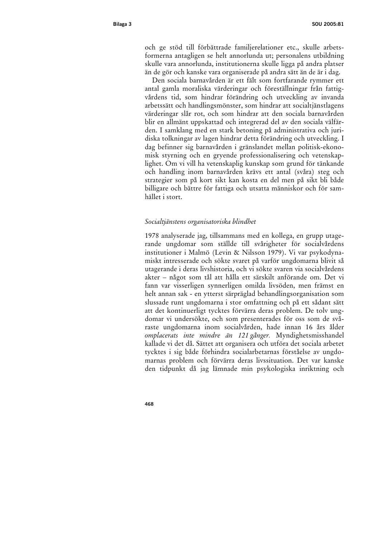och ge stöd till förbättrade familjerelationer etc., skulle arbetsformerna antagligen se helt annorlunda ut; personalens utbildning skulle vara annorlunda, institutionerna skulle ligga på andra platser än de gör och kanske vara organiserade på andra sätt än de är i dag.

Den sociala barnavården är ett fält som fortfarande rymmer ett antal gamla moraliska värderingar och föreställningar från fattigvårdens tid, som hindrar förändring och utveckling av invanda arbetssätt och handlingsmönster, som hindrar att socialtjänstlagens värderingar slår rot, och som hindrar att den sociala barnavården blir en allmänt uppskattad och integrerad del av den sociala välfärden. I samklang med en stark betoning på administrativa och juridiska tolkningar av lagen hindrar detta förändring och utveckling. I dag befinner sig barnavården i gränslandet mellan politisk-ekonomisk styrning och en gryende professionalisering och vetenskaplighet. Om vi vill ha vetenskaplig kunskap som grund för tänkande och handling inom barnavården krävs ett antal (svåra) steg och strategier som på kort sikt kan kosta en del men på sikt bli både billigare och bättre för fattiga och utsatta människor och för samhället i stort.

#### Socialtjänstens organisatoriska blindhet

1978 analyserade jag, tillsammans med en kollega, en grupp utagerande ungdomar som ställde till svårigheter för socialvårdens institutioner i Malmö (Levin & Nilsson 1979). Vi var psykodynamiskt intresserade och sökte svaret på varför ungdomarna blivit så utagerande i deras livshistoria, och vi sökte svaren via socialvårdens akter – något som tål att hålla ett särskilt anförande om. Det vi fann var visserligen synnerligen omilda livsöden, men främst en helt annan sak - en ytterst särpräglad behandlingsorganisation som slussade runt ungdomarna i stor omfattning och på ett sådant sätt att det kontinuerligt tycktes förvärra deras problem. De tolv ungdomar vi undersökte, och som presenterades för oss som de svåraste ungdomarna inom socialvården, hade innan 16 års ålder omplacerats inte mindre än 121 gånger. Myndighetsmisshandel kallade vi det då. Sättet att organisera och utföra det sociala arbetet tycktes i sig både förhindra socialarbetarnas förståelse av ungdomarnas problem och förvärra deras livssituation. Det var kanske den tidpunkt då jag lämnade min psykologiska inriktning och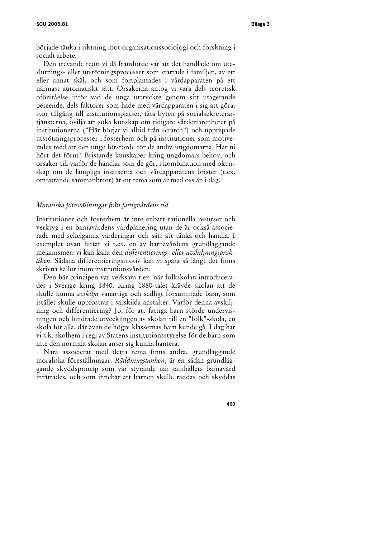började tänka i riktning mot organisationssociologi och forskning i socialt arbete.

Den trevande teori vi då framförde var att det handlade om uteslutnings- eller utstötningsprocesser som startade i familjen, av ett eller annat skäl, och som fortplantades i vårdapparaten på ett närmast automatiskt sätt. Orsakerna antog vi vara dels teoretisk oförståelse inför vad de unga uttryckte genom sitt utagerande beteende, dels faktorer som hade med vårdapparaten i sig att göra: stor tillgång till institutionsplatser, täta byten på socialsekreterartjänsterna, ovilja att söka kunskap om tidigare vårderfarenheter på institutionerna ("Här börjar vi alltid från scratch") och upprepade utstötningsprocesser i fosterhem och på institutioner som motiverades med att den unge förstörde för de andra ungdomarna. Har ni hört det förut? Bristande kunskaper kring ungdomars behov, och orsaker till varför de handlar som de gör, i kombination med okunskap om de lämpliga insatserna och vårdapparatens brister (t.ex. omfattande sammanbrott) är ett tema som är med oss än i dag.

## Moraliska föreställningar från fattigvårdens tid

Institutioner och fosterhem är inte enbart rationella resurser och verktyg i en barnavårdens vårdplanering utan de är också associerade med sekelgamla värderingar och sätt att tänka och handla. I exemplet ovan hittar vi t.ex. en av barnavårdens grundläggande mekanismer: vi kan kalla den differentierings- eller avskiljningspraktiken. Sådana differentieringsmotiv kan vi spåra så långt det finns skrivna källor inom institutionsvården.

Den här principen var verksam t.ex. när folkskolan introducerades i Sverige kring 1840. Kring 1880-talet krävde skolan att de skulle kunna avskilja vanartiga och sedligt försummade barn, som istället skulle uppfostras i särskilda anstalter. Varför denna avskiljning och differentiering? Jo, för att fattiga barn störde undervisningen och hindrade utvecklingen av skolan till en "folk"-skola, en skola för alla, där även de högre klassernas barn kunde gå. I dag har vi s.k. skolhem i regi av Statens institutionsstyrelse för de barn som inte den normala skolan anser sig kunna hantera.

Nära associerat med detta tema finns andra, grundläggande moraliska föreställningar. Räddningstanken, är en sådan grundläggande skyddsprincip som var styrande när samhällets barnavård inrättades, och som innebär att barnen skulle räddas och skyddas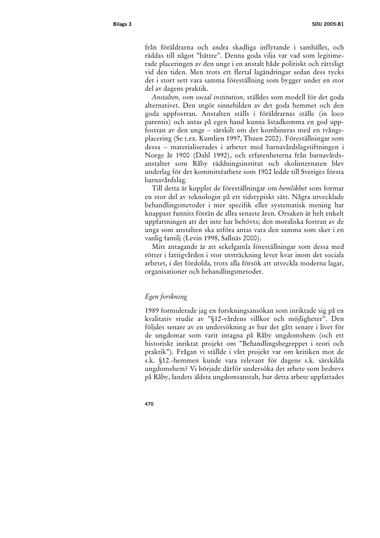från föräldrarna och andra skadliga inflytande i samhället, och räddas till något "bättre". Denna goda vilja var vad som legitimerade placeringen av den unge i en anstalt både politiskt och rättsligt vid den tiden. Men trots ett flertal lagändringar sedan dess tycks det i stort sett vara samma föreställning som bygger under en stor del av dagens praktik.

Anstalten, som social institution, ställdes som modell för det goda alternativet. Den utgör sinnebilden av det goda hemmet och den goda uppfostran. Anstalten ställs i föräldrarnas ställe (in loco parentis) och antas på egen hand kunna åstadkomma en god uppfostran av den unge – särskilt om det kombineras med en tvångsplacering (Se t.ex. Kumlien 1997, Thuen 2002). Föreställningar som dessa – materialiserades i arbetet med barnavårdslagstiftningen i Norge år 1900 (Dahl 1992), och erfarenheterna från barnavårdsanstalter som Råby räddningsinstitut och skolinternaten blev underlag för det kommittéarbete som 1902 ledde till Sveriges första barnavårdslag.

Till detta är kopplat de föreställningar om hemlikhet som formar en stor del av teknologin på ett tidstypiskt sätt. Några utvecklade behandlingsmetoder i mer specifik eller systematisk mening har knappast funnits förrän de allra senaste åren. Orsaken är helt enkelt uppfattningen att det inte har behövts; den moraliska fostran av de unga som anstalten ska utföra antas vara den samma som sker i en vanlig familj (Levin 1998, Sallnäs 2000).

Mitt antagande är att sekelgamla föreställningar som dessa med rötter i fattigvården i stor utsträckning lever kvar inom det sociala arbetet, i det fördolda, trots alla försök att utveckla moderna lagar, organisationer och behandlingsmetoder.

## Egen forskning

1989 formulerade jag en forskningsansökan som inriktade sig på en kvalitativ studie av "§12-vårdens villkor och möjligheter". Den följdes senare av en undersökning av hur det gått senare i livet för de ungdomar som varit intagna på Råby ungdomshem (och ett historiskt inriktat projekt om "Behandlingsbegreppet i teori och praktik"). Frågan vi ställde i vårt projekt var om kritiken mot de s.k. §12.-hemmen kunde vara relevant för dagens s.k. särskilda ungdomshem? Vi började därför undersöka det arbete som bedrevs på Råby, landets äldsta ungdomsanstalt, hur detta arbete uppfattades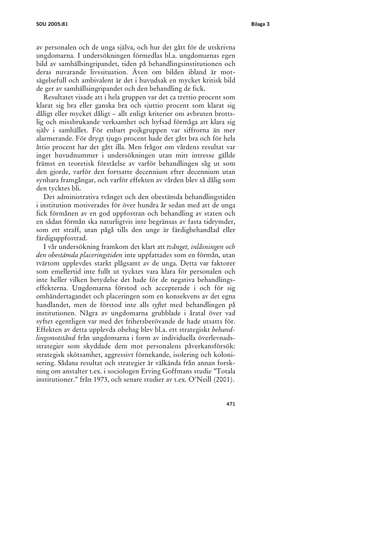av personalen och de unga själva, och hur det gått för de utskrivna ungdomarna. I undersökningen förmedlas bl.a. ungdomarnas egen bild av samhällsingripandet, tiden på behandlingsinstitutionen och deras nuvarande livssituation. Även om bilden ibland är motsägelsefull och ambivalent är det i huvudsak en mycket kritisk bild de ger av samhällsingripandet och den behandling de fick.

Resultatet visade att i hela gruppen var det ca trettio procent som klarat sig bra eller ganska bra och sjuttio procent som klarat sig dåligt eller mycket dåligt – allt enligt kriterier om avbruten brottslig och missbrukande verksamhet och hyfsad förmåga att klara sig själv i samhället. För enbart pojkgruppen var siffrorna än mer alarmerande. För drygt tjugo procent hade det gått bra och för hela åttio procent har det gått illa. Men frågor om vårdens resultat var inget huvudnummer i undersökningen utan mitt intresse gällde främst en teoretisk förståelse av varför behandlingen såg ut som den gjorde, varför den fortsatte decennium efter decennium utan synbara framgångar, och varför effekten av vården blev så dålig som den tycktes bli.

Det administrativa tvånget och den obestämda behandlingstiden i institution motiverades för över hundra år sedan med att de unga fick förmånen av en god uppfostran och behandling av staten och en sådan förmån ska naturligtvis inte begränsas av fasta tidrymder, som ett straff, utan pågå tills den unge är färdigbehandlad eller färdiguppfostrad.

I vår undersökning framkom det klart att tvånget, inlåsningen och den obestämda placeringstiden inte uppfattades som en förmån, utan tvärtom upplevdes starkt plågsamt av de unga. Detta var faktorer som emellertid inte fullt ut tycktes vara klara för personalen och inte heller vilken betydelse det hade för de negativa behandlingseffekterna. Ungdomarna förstod och accepterade i och för sig omhändertagandet och placeringen som en konsekvens av det egna handlandet, men de förstod inte alls syftet med behandlingen på institutionen. Några av ungdomarna grubblade i åratal över vad syftet egentligen var med det frihetsberövande de hade utsatts för. Effekten av detta upplevda obehag blev bl.a. ett strategiskt behandlingsmotstånd från ungdomarna i form av individuella överlevnadsstrategier som skyddade dem mot personalens påverkansförsök: strategisk skötsamhet, aggressivt förnekande, isolering och kolonisering. Sådana resultat och strategier är välkända från annan forskning om anstalter t.ex. i sociologen Erving Goffmans studie "Totala institutioner." från 1973, och senare studier av t.ex. O'Neill (2001).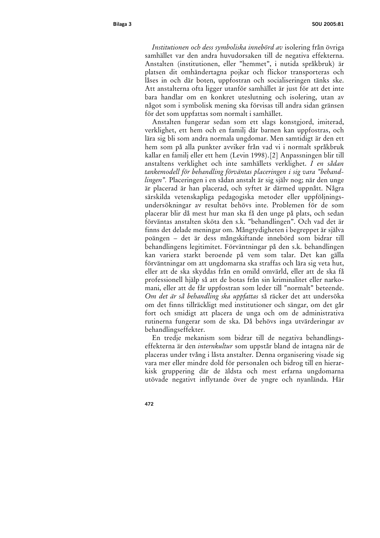Institutionen och dess symboliska innebörd av isolering från övriga samhället var den andra huvudorsaken till de negativa effekterna. Anstalten (institutionen, eller "hemmet", i nutida språkbruk) är platsen dit omhändertagna pojkar och flickor transporteras och låses in och där boten, uppfostran och socialiseringen tänks ske. Att anstalterna ofta ligger utanför samhället är just för att det inte bara handlar om en konkret uteslutning och isolering, utan av något som i symbolisk mening ska förvisas till andra sidan gränsen för det som uppfattas som normalt i samhället.

Anstalten fungerar sedan som ett slags konstgjord, imiterad, verklighet, ett hem och en familj där barnen kan uppfostras, och lära sig bli som andra normala ungdomar. Men samtidigt är den ett hem som på alla punkter avviker från vad vi i normalt språkbruk kallar en familj eller ett hem (Levin 1998).[2] Anpassningen blir till anstaltens verklighet och inte samhällets verklighet. I en sådan tankemodell för behandling förväntas placeringen i sig vara "behandlingen". Placeringen i en sådan anstalt är sig själv nog; när den unge är placerad är han placerad, och syftet är därmed uppnått. Några särskilda vetenskapliga pedagogiska metoder eller uppföljningsundersökningar av resultat behövs inte. Problemen för de som placerar blir då mest hur man ska få den unge på plats, och sedan förväntas anstalten sköta den s.k. "behandlingen". Och vad det är finns det delade meningar om. Mångtydigheten i begreppet är själva poängen – det är dess mångskiftande innebörd som bidrar till behandlingens legitimitet. Förväntningar på den s.k. behandlingen kan variera starkt beroende på vem som talar. Det kan gälla förväntningar om att ungdomarna ska straffas och lära sig veta hut, eller att de ska skyddas från en omild omvärld, eller att de ska få professionell hjälp så att de botas från sin kriminalitet eller narkomani, eller att de får uppfostran som leder till "normalt" beteende. Om det är så behandling ska uppfattas så räcker det att undersöka om det finns tillräckligt med institutioner och sängar, om det går fort och smidigt att placera de unga och om de administrativa rutinerna fungerar som de ska. Då behövs inga utvärderingar av behandlingseffekter.

En tredje mekanism som bidrar till de negativa behandlingseffekterna är den internkultur som uppstår bland de intagna när de placeras under tvång i låsta anstalter. Denna organisering visade sig vara mer eller mindre dold för personalen och bidrog till en hierarkisk gruppering där de äldsta och mest erfarna ungdomarna utövade negativt inflytande över de yngre och nyanlända. Här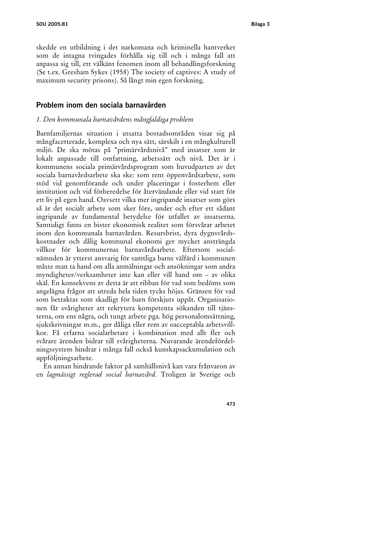skedde en utbildning i det narkomana och kriminella hantverket som de intagna tvingades förhålla sig till och i många fall att anpassa sig till, ett välkänt fenomen inom all behandlingsforskning (Se t.ex. Gresham Sykes (1958) The society of captives: A study of maximum security prisons). Så långt min egen forskning.

# Problem inom den sociala barnavården

## 1. Den kommunala barnavårdens mångfaldiga problem

Barnfamiljernas situation i utsatta bostadsområden visar sig på mångfacetterade, komplexa och nya sätt, särskilt i en mångkulturell miljö. De ska mötas på "primärvårdsnivå" med insatser som är lokalt anpassade till omfattning, arbetssätt och nivå. Det är i kommunens sociala primärvårdsprogram som huvudparten av det sociala barnavårdsarbete ska ske: som rent öppenvårdsarbete, som stöd vid genomförande och under placeringar i fosterhem eller institution och vid förberedelse för återvändande eller vid start för ett liv på egen hand. Oavsett vilka mer ingripande insatser som görs så är det socialt arbete som sker före, under och efter ett sådant ingripande av fundamental betydelse för utfallet av insatserna. Samtidigt finns en bister ekonomisk realitet som försvårar arbetet inom den kommunala barnavården. Resursbrist, dyra dygnsvårdskostnader och dålig kommunal ekonomi ger mycket ansträngda villkor för kommunernas barnavårdsarbete. Eftersom socialnämnden är ytterst ansvarig för samtliga barns välfärd i kommunen måste man ta hand om alla anmälningar och ansökningar som andra myndigheter/verksamheter inte kan eller vill hand om – av olika skäl. En konsekvens av detta är att ribban för vad som bedöms som angelägna frågor att utreda hela tiden tycks höjas. Gränsen för vad som betraktas som skadligt för barn förskjuts uppåt. Organisationen får svårigheter att rekrytera kompetenta sökanden till tjänsterna, om ens några, och tungt arbete pga. hög personalomsättning, sjukskrivningar m.m., ger dåliga eller rent av oacceptabla arbetsvillkor. Få erfarna socialarbetare i kombination med allt fler och svårare ärenden bidrar till svårigheterna. Nuvarande ärendefördelningssystem hindrar i många fall också kunskapsackumulation och uppföljningsarbete.

En annan hindrande faktor på samhällsnivå kan vara frånvaron av en lagmässigt reglerad social barnavård. Troligen är Sverige och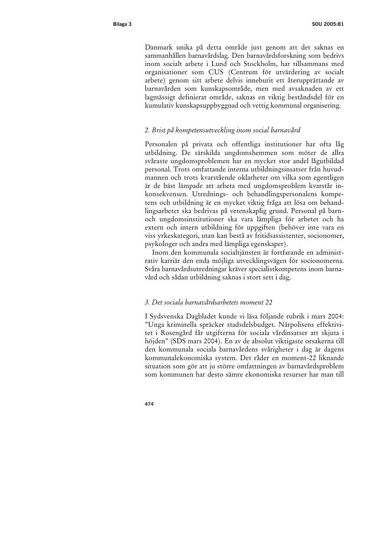Danmark unika på detta område just genom att det saknas en sammanhållen barnavårdslag. Den barnavårdsforskning som bedrivs inom socialt arbete i Lund och Stockholm, har tillsammans med organisationer som CUS (Centrum för utvärdering av socialt arbete) genom sitt arbete delvis inneburit ett återupprättande av barnavården som kunskapsområde, men med avsaknaden av ett lagmässigt definierat område, saknas en viktig beståndsdel för en kumulativ kunskapsuppbyggnad och vettig kommunal organisering.

#### 2. Brist på kompetensutveckling inom social barnavård

Personalen på privata och offentliga institutioner har ofta låg utbildning. De särskilda ungdomshemmen som möter de allra svåraste ungdomsproblemen har en mycket stor andel lågutbildad personal. Trots omfattande interna utbildningsinsatser från huvudmannen och trots kvarstående oklarheter om vilka som egentligen är de bäst lämpade att arbeta med ungdomsproblem kvarstår inkonsekvensen. Utrednings- och behandlingspersonalens kompetens och utbildning är en mycket viktig fråga att lösa om behandlingsarbetet ska bedrivas på vetenskaplig grund. Personal på barnoch ungdomsinstitutioner ska vara lämpliga för arbetet och ha extern och intern utbildning för uppgiften (behöver inte vara en viss yrkeskategori, utan kan bestå av fritidsassistenter, socionomer, psykologer och andra med lämpliga egenskaper).

Inom den kommunala socialtjänsten är fortfarande en administrativ karriär den enda möjliga utvecklingsvägen för socionomerna. Svåra barnavårdsutredningar kräver specialistkompetens inom barnavård och sådan utbildning saknas i stort sett i dag.

#### 3. Det sociala barnavårdsarbetets moment 22

I Sydsvenska Dagbladet kunde vi läsa följande rubrik i mars 2004: "Unga kriminella spräcker stadsdelsbudget. Närpolisens effektivitet i Rosengård får utgifterna för sociala vårdinsatser att skjuta i höjden" (SDS mars 2004). En av de absolut viktigaste orsakerna till den kommunala sociala barnavårdens svårigheter i dag är dagens kommunalekonomiska system. Det råder en moment-22 liknande situation som gör att ju större omfattningen av barnavårdsproblem som kommunen har desto sämre ekonomiska resurser har man till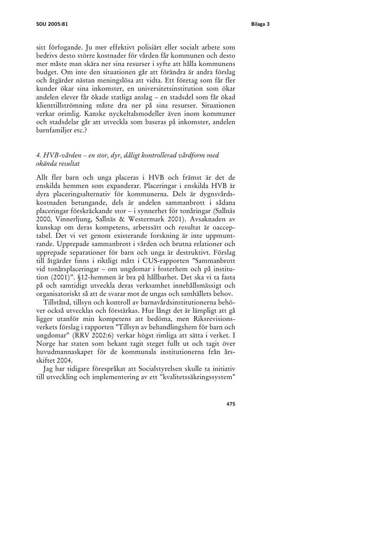sitt förfogande. Ju mer effektivt polisiärt eller socialt arbete som bedrivs desto större kostnader för vården får kommunen och desto mer måste man skära ner sina resurser i syfte att hålla kommunens budget. Om inte den situationen går att förändra är andra förslag och åtgärder nästan meningslösa att vidta. Ett företag som får fler kunder ökar sina inkomster, en universitetsinstitution som ökar andelen elever får ökade statliga anslag – en stadsdel som får ökad klienttillströmning måste dra ner på sina resurser. Situationen verkar orimlig. Kanske nyckeltalsmodeller även inom kommuner och stadsdelar går att utveckla som baseras på inkomster, andelen barnfamiljer etc.?

# 4. HVB-vården – en stor, dyr, dåligt kontrollerad vårdform med okända resultat

Allt fler barn och unga placeras i HVB och främst är det de enskilda hemmen som expanderar. Placeringar i enskilda HVB är dyra placeringsalternativ för kommunerna. Dels är dygnsvårdskostnaden betungande, dels är andelen sammanbrott i sådana placeringar förskräckande stor – i synnerhet för tonåringar (Sallnäs 2000, Vinnerljung, Sallnäs & Westermark 2001). Avsaknaden av kunskap om deras kompetens, arbetssätt och resultat är oacceptabel. Det vi vet genom existerande forskning är inte uppmuntrande. Upprepade sammanbrott i vården och brutna relationer och upprepade separationer för barn och unga är destruktivt. Förslag till åtgärder finns i riktligt mått i CUS-rapporten "Sammanbrott vid tonårsplaceringar – om ungdomar i fosterhem och på institution (2001)". §12-hemmen är bra på hållbarhet. Det ska vi ta fasta på och samtidigt utveckla deras verksamhet innehållsmässigt och organisatoriskt så att de svarar mot de ungas och samhällets behov.

Tillstånd, tillsyn och kontroll av barnavårdsinstitutionerna behöver också utvecklas och förstärkas. Hur långt det är lämpligt att gå ligger utanför min kompetens att bedöma, men Riksrevisionsverkets förslag i rapporten "Tillsyn av behandlingshem för barn och ungdomar" (RRV 2002:6) verkar högst rimliga att sätta i verket. I Norge har staten som bekant tagit steget fullt ut och tagit över huvudmannaskapet för de kommunala institutionerna från årsskiftet 2004.

Jag har tidigare förespråkat att Socialstyrelsen skulle ta initiativ till utveckling och implementering av ett "kvalitetssäkringssystem"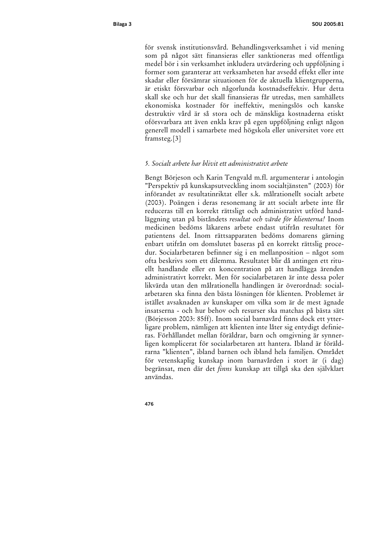för svensk institutionsvård. Behandlingsverksamhet i vid mening som på något sätt finansieras eller sanktioneras med offentliga medel bör i sin verksamhet inkludera utvärdering och uppföljning i former som garanterar att verksamheten har avsedd effekt eller inte skadar eller försämrar situationen för de aktuella klientgrupperna, är etiskt försvarbar och någorlunda kostnadseffektiv. Hur detta skall ske och hur det skall finansieras får utredas, men samhällets ekonomiska kostnader för ineffektiv, meningslös och kanske destruktiv vård är så stora och de mänskliga kostnaderna etiskt oförsvarbara att även enkla krav på egen uppföljning enligt någon generell modell i samarbete med högskola eller universitet vore ett framsteg.[3]

## 5. Socialt arbete har blivit ett administrativt arbete

Bengt Börjeson och Karin Tengvald m.fl. argumenterar i antologin "Perspektiv på kunskapsutveckling inom socialtjänsten" (2003) för införandet av resultatinriktat eller s.k. målrationellt socialt arbete (2003). Poängen i deras resonemang är att socialt arbete inte får reduceras till en korrekt rättsligt och administrativt utförd handläggning utan på biståndets resultat och värde för klienterna! Inom medicinen bedöms läkarens arbete endast utifrån resultatet för patientens del. Inom rättsapparaten bedöms domarens gärning enbart utifrån om domslutet baseras på en korrekt rättslig procedur. Socialarbetaren befinner sig i en mellanposition – något som ofta beskrivs som ett dilemma. Resultatet blir då antingen ett rituellt handlande eller en koncentration på att handlägga ärenden administrativt korrekt. Men för socialarbetaren är inte dessa poler likvärda utan den målrationella handlingen är överordnad: socialarbetaren ska finna den bästa lösningen för klienten. Problemet är istället avsaknaden av kunskaper om vilka som är de mest ägnade insatserna - och hur behov och resurser ska matchas på bästa sätt (Börjesson 2003: 85ff). Inom social barnavård finns dock ett ytterligare problem, nämligen att klienten inte låter sig entydigt definieras. Förhållandet mellan föräldrar, barn och omgivning är synnerligen komplicerat för socialarbetaren att hantera. Ibland är föräldrarna "klienten", ibland barnen och ibland hela familjen. Området för vetenskaplig kunskap inom barnavården i stort är (i dag) begränsat, men där det finns kunskap att tillgå ska den självklart användas.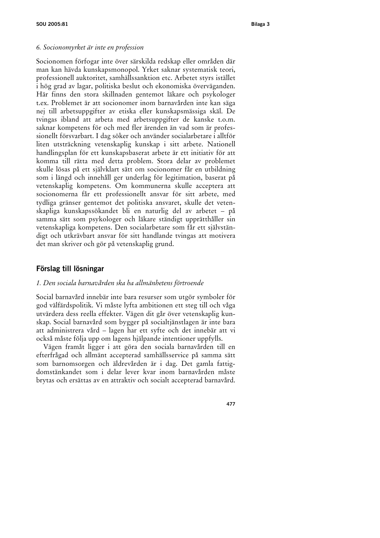#### 6. Socionomyrket är inte en profession

Socionomen förfogar inte över särskilda redskap eller områden där man kan hävda kunskapsmonopol. Yrket saknar systematisk teori, professionell auktoritet, samhällssanktion etc. Arbetet styrs istället i hög grad av lagar, politiska beslut och ekonomiska överväganden. Här finns den stora skillnaden gentemot läkare och psykologer t.ex. Problemet är att socionomer inom barnavården inte kan säga nej till arbetsuppgifter av etiska eller kunskapsmässiga skäl. De tvingas ibland att arbeta med arbetsuppgifter de kanske t.o.m. saknar kompetens för och med fler ärenden än vad som är professionellt försvarbart. I dag söker och använder socialarbetare i alltför liten utsträckning vetenskaplig kunskap i sitt arbete. Nationell handlingsplan för ett kunskapsbaserat arbete är ett initiativ för att komma till rätta med detta problem. Stora delar av problemet skulle lösas på ett självklart sätt om socionomer får en utbildning som i längd och innehåll ger underlag för legitimation, baserat på vetenskaplig kompetens. Om kommunerna skulle acceptera att socionomerna får ett professionellt ansvar för sitt arbete, med tydliga gränser gentemot det politiska ansvaret, skulle det vetenskapliga kunskapssökandet bli en naturlig del av arbetet – på samma sätt som psykologer och läkare ständigt upprätthåller sin vetenskapliga kompetens. Den socialarbetare som får ett självständigt och utkrävbart ansvar för sitt handlande tvingas att motivera det man skriver och gör på vetenskaplig grund.

# Förslag till lösningar

#### 1. Den sociala barnavården ska ha allmänhetens förtroende

Social barnavård innebär inte bara resurser som utgör symboler för god välfärdspolitik. Vi måste lyfta ambitionen ett steg till och våga utvärdera dess reella effekter. Vägen dit går över vetenskaplig kunskap. Social barnavård som bygger på socialtjänstlagen är inte bara att administrera vård – lagen har ett syfte och det innebär att vi också måste följa upp om lagens hjälpande intentioner uppfylls.

Vägen framåt ligger i att göra den sociala barnavården till en efterfrågad och allmänt accepterad samhällsservice på samma sätt som barnomsorgen och äldrevården är i dag. Det gamla fattigdomstänkandet som i delar lever kvar inom barnavården måste brytas och ersättas av en attraktiv och socialt accepterad barnavård.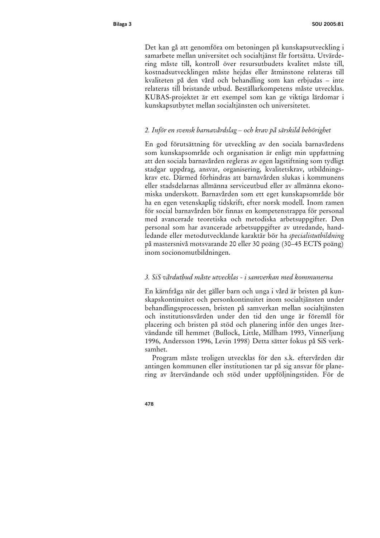Det kan gå att genomföra om betoningen på kunskapsutveckling i samarbete mellan universitet och socialtjänst får fortsätta. Utvärdering måste till, kontroll över resursutbudets kvalitet måste till, kostnadsutvecklingen måste hejdas eller åtminstone relateras till kvaliteten på den vård och behandling som kan erbjudas – inte relateras till bristande utbud. Beställarkompetens måste utvecklas. KUBAS-projektet är ett exempel som kan ge viktiga lärdomar i kunskapsutbytet mellan socialtjänsten och universitetet.

## 2. Inför en svensk barnavårdslag – och krav på särskild behörighet

En god förutsättning för utveckling av den sociala barnavårdens som kunskapsområde och organisation är enligt min uppfattning att den sociala barnavården regleras av egen lagstiftning som tydligt stadgar uppdrag, ansvar, organisering, kvalitetskrav, utbildningskrav etc. Därmed förhindras att barnavården slukas i kommunens eller stadsdelarnas allmänna serviceutbud eller av allmänna ekonomiska underskott. Barnavården som ett eget kunskapsområde bör ha en egen vetenskaplig tidskrift, efter norsk modell. Inom ramen för social barnavården bör finnas en kompetenstrappa för personal med avancerade teoretiska och metodiska arbetsuppgifter. Den personal som har avancerade arbetsuppgifter av utredande, handledande eller metodutvecklande karaktär bör ha specialistutbildning på mastersnivå motsvarande 20 eller 30 poäng (30–45 ECTS poäng) inom socionomutbildningen.

# 3. SiS vårdutbud måste utvecklas - i samverkan med kommunerna

En kärnfråga när det gäller barn och unga i vård är bristen på kunskapskontinuitet och personkontinuitet inom socialtjänsten under behandlingsprocessen, bristen på samverkan mellan socialtjänsten och institutionsvården under den tid den unge är föremål för placering och bristen på stöd och planering inför den unges återvändande till hemmet (Bullock, Little, Millham 1993, Vinnerljung 1996, Andersson 1996, Levin 1998) Detta sätter fokus på SiS verksamhet.

Program måste troligen utvecklas för den s.k. eftervården där antingen kommunen eller institutionen tar på sig ansvar för planering av återvändande och stöd under uppföljningstiden. För de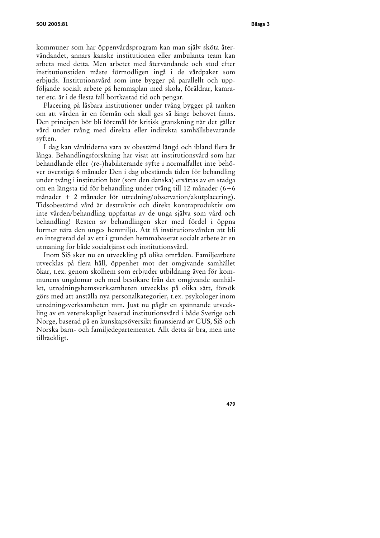kommuner som har öppenvårdsprogram kan man själv sköta återvändandet, annars kanske institutionen eller ambulanta team kan arbeta med detta. Men arbetet med återvändande och stöd efter institutionstiden måste förmodligen ingå i de vårdpaket som erbjuds. Institutionsvård som inte bygger på parallellt och uppföljande socialt arbete på hemmaplan med skola, föräldrar, kamrater etc. är i de flesta fall bortkastad tid och pengar.

Placering på låsbara institutioner under tvång bygger på tanken om att vården är en förmån och skall ges så länge behovet finns. Den principen bör bli föremål för kritisk granskning när det gäller vård under tvång med direkta eller indirekta samhällsbevarande syften.

I dag kan vårdtiderna vara av obestämd längd och ibland flera år långa. Behandlingsforskning har visat att institutionsvård som har behandlande eller (re-)habiliterande syfte i normalfallet inte behöver överstiga 6 månader Den i dag obestämda tiden för behandling under tvång i institution bör (som den danska) ersättas av en stadga om en längsta tid för behandling under tvång till 12 månader (6+6 månader + 2 månader för utredning/observation/akutplacering). Tidsobestämd vård är destruktiv och direkt kontraproduktiv om inte vården/behandling uppfattas av de unga själva som vård och behandling! Resten av behandlingen sker med fördel i öppna former nära den unges hemmiljö. Att få institutionsvården att bli en integrerad del av ett i grunden hemmabaserat socialt arbete är en utmaning för både socialtjänst och institutionsvård.

Inom SiS sker nu en utveckling på olika områden. Familjearbete utvecklas på flera håll, öppenhet mot det omgivande samhället ökar, t.ex. genom skolhem som erbjuder utbildning även för kommunens ungdomar och med besökare från det omgivande samhället, utredningshemsverksamheten utvecklas på olika sätt, försök görs med att anställa nya personalkategorier, t.ex. psykologer inom utredningsverksamheten mm. Just nu pågår en spännande utveckling av en vetenskapligt baserad institutionsvård i både Sverige och Norge, baserad på en kunskapsöversikt finansierad av CUS, SiS och Norska barn- och familjedepartementet. Allt detta är bra, men inte tillräckligt.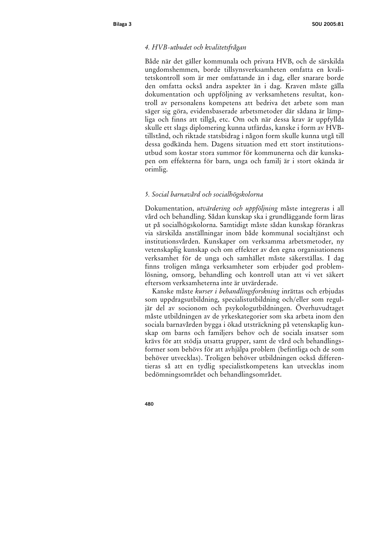## 4. HVB-utbudet och kvalitetsfrågan

Både när det gäller kommunala och privata HVB, och de särskilda ungdomshemmen, borde tillsynsverksamheten omfatta en kvalitetskontroll som är mer omfattande än i dag, eller snarare borde den omfatta också andra aspekter än i dag. Kraven måste gälla dokumentation och uppföljning av verksamhetens resultat, kontroll av personalens kompetens att bedriva det arbete som man säger sig göra, evidensbaserade arbetsmetoder där sådana är lämpliga och finns att tillgå, etc. Om och när dessa krav är uppfyllda skulle ett slags diplomering kunna utfärdas, kanske i form av HVBtillstånd, och riktade statsbidrag i någon form skulle kunna utgå till dessa godkända hem. Dagens situation med ett stort institutionsutbud som kostar stora summor för kommunerna och där kunskapen om effekterna för barn, unga och familj är i stort okända är orimlig.

## 5. Social barnavård och socialhögskolorna

Dokumentation, utvärdering och uppföljning måste integreras i all vård och behandling. Sådan kunskap ska i grundläggande form läras ut på socialhögskolorna. Samtidigt måste sådan kunskap förankras via särskilda anställningar inom både kommunal socialtjänst och institutionsvården. Kunskaper om verksamma arbetsmetoder, ny vetenskaplig kunskap och om effekter av den egna organisationens verksamhet för de unga och samhället måste säkerställas. I dag finns troligen många verksamheter som erbjuder god problemlösning, omsorg, behandling och kontroll utan att vi vet säkert eftersom verksamheterna inte är utvärderade.

Kanske måste kurser i behandlingsforskning inrättas och erbjudas som uppdragsutbildning, specialistutbildning och/eller som reguljär del av socionom och psykologutbildningen. Överhuvudtaget måste utbildningen av de yrkeskategorier som ska arbeta inom den sociala barnavården bygga i ökad utsträckning på vetenskaplig kunskap om barns och familjers behov och de sociala insatser som krävs för att stödja utsatta grupper, samt de vård och behandlingsformer som behövs för att avhjälpa problem (befintliga och de som behöver utvecklas). Troligen behöver utbildningen också differentieras så att en tydlig specialistkompetens kan utvecklas inom bedömningsområdet och behandlingsområdet.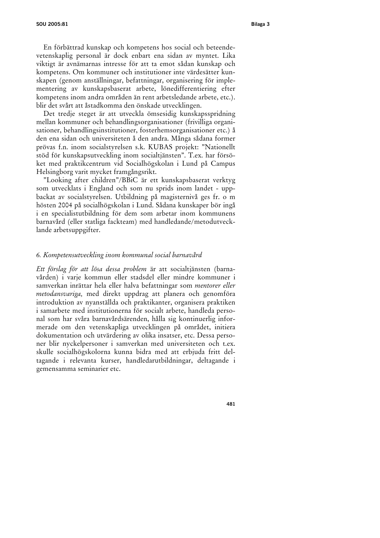En förbättrad kunskap och kompetens hos social och beteendevetenskaplig personal är dock enbart ena sidan av myntet. Lika viktigt är avnämarnas intresse för att ta emot sådan kunskap och kompetens. Om kommuner och institutioner inte värdesätter kunskapen (genom anställningar, befattningar, organisering för implementering av kunskapsbaserat arbete, lönedifferentiering efter kompetens inom andra områden än rent arbetsledande arbete, etc.). blir det svårt att åstadkomma den önskade utvecklingen.

Det tredje steget är att utveckla ömsesidig kunskapsspridning mellan kommuner och behandlingsorganisationer (frivilliga organisationer, behandlingsinstitutioner, fosterhemsorganisationer etc.) å den ena sidan och universiteten å den andra. Många sådana former prövas f.n. inom socialstyrelsen s.k. KUBAS projekt: "Nationellt stöd för kunskapsutveckling inom socialtjänsten". T.ex. har försöket med praktikcentrum vid Socialhögskolan i Lund på Campus Helsingborg varit mycket framgångsrikt.

"Looking after children"/BBiC är ett kunskapsbaserat verktyg som utvecklats i England och som nu sprids inom landet - uppbackat av socialstyrelsen. Utbildning på magisternivå ges fr. o m hösten 2004 på socialhögskolan i Lund. Sådana kunskaper bör ingå i en specialistutbildning för dem som arbetar inom kommunens barnavård (eller statliga fackteam) med handledande/metodutvecklande arbetsuppgifter.

#### 6. Kompetensutveckling inom kommunal social barnavård

Ett förslag för att lösa dessa problem är att socialtjänsten (barnavården) i varje kommun eller stadsdel eller mindre kommuner i samverkan inrättar hela eller halva befattningar som mentorer eller metodansvariga, med direkt uppdrag att planera och genomföra introduktion av nyanställda och praktikanter, organisera praktiken i samarbete med institutionerna för socialt arbete, handleda personal som har svåra barnavårdsärenden, hålla sig kontinuerlig informerade om den vetenskapliga utvecklingen på området, initiera dokumentation och utvärdering av olika insatser, etc. Dessa personer blir nyckelpersoner i samverkan med universiteten och t.ex. skulle socialhögskolorna kunna bidra med att erbjuda fritt deltagande i relevanta kurser, handledarutbildningar, deltagande i gemensamma seminarier etc.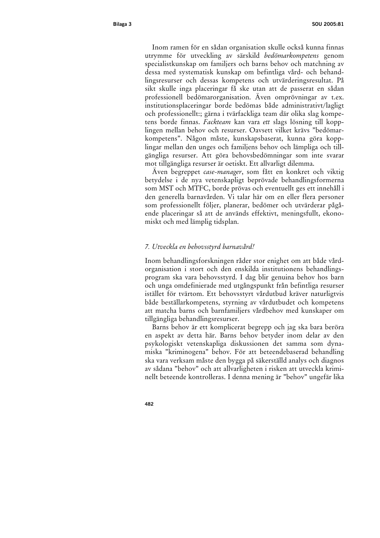Inom ramen för en sådan organisation skulle också kunna finnas utrymme för utveckling av särskild bedömarkompetens genom specialistkunskap om familjers och barns behov och matchning av dessa med systematisk kunskap om befintliga vård- och behandlingsresurser och dessas kompetens och utvärderingsresultat. På sikt skulle inga placeringar få ske utan att de passerat en sådan professionell bedömarorganisation. Även omprövningar av t.ex. institutionsplaceringar borde bedömas både administrativt/lagligt och professionellt:; gärna i tvärfackliga team där olika slag kompetens borde finnas. Fackteam kan vara ett slags lösning till kopplingen mellan behov och resurser. Oavsett vilket krävs "bedömarkompetens". Någon måste, kunskapsbaserat, kunna göra kopplingar mellan den unges och familjens behov och lämpliga och tillgängliga resurser. Att göra behovsbedömningar som inte svarar mot tillgängliga resurser är oetiskt. Ett allvarligt dilemma.

Även begreppet case-manager, som fått en konkret och viktig betydelse i de nya vetenskapligt beprövade behandlingsformerna som MST och MTFC, borde prövas och eventuellt ges ett innehåll i den generella barnavården. Vi talar här om en eller flera personer som professionellt följer, planerar, bedömer och utvärderar pågående placeringar så att de används effektivt, meningsfullt, ekonomiskt och med lämplig tidsplan.

## 7. Utveckla en behovsstyrd barnavård!

Inom behandlingsforskningen råder stor enighet om att både vårdorganisation i stort och den enskilda institutionens behandlingsprogram ska vara behovsstyrd. I dag blir genuina behov hos barn och unga omdefinierade med utgångspunkt från befintliga resurser istället för tvärtom. Ett behovsstyrt vårdutbud kräver naturligtvis både beställarkompetens, styrning av vårdutbudet och kompetens att matcha barns och barnfamiljers vårdbehov med kunskaper om tillgängliga behandlingsresurser.

Barns behov är ett komplicerat begrepp och jag ska bara beröra en aspekt av detta här. Barns behov betyder inom delar av den psykologiskt vetenskapliga diskussionen det samma som dynamiska "kriminogena" behov. För att beteendebaserad behandling ska vara verksam måste den bygga på säkerställd analys och diagnos av sådana "behov" och att allvarligheten i risken att utveckla kriminellt beteende kontrolleras. I denna mening är "behov" ungefär lika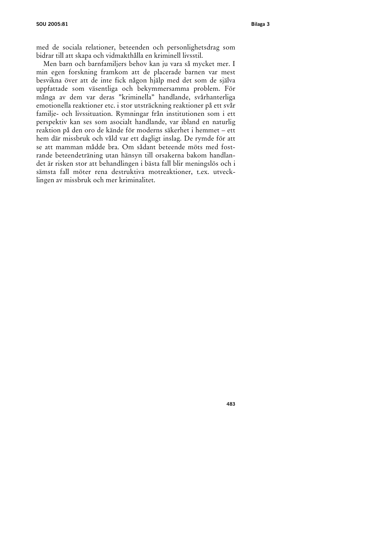med de sociala relationer, beteenden och personlighetsdrag som bidrar till att skapa och vidmakthålla en kriminell livsstil.

Men barn och barnfamiljers behov kan ju vara så mycket mer. I min egen forskning framkom att de placerade barnen var mest besvikna över att de inte fick någon hjälp med det som de själva uppfattade som väsentliga och bekymmersamma problem. För många av dem var deras "kriminella" handlande, svårhanterliga emotionella reaktioner etc. i stor utsträckning reaktioner på ett svår familje- och livssituation. Rymningar från institutionen som i ett perspektiv kan ses som asocialt handlande, var ibland en naturlig reaktion på den oro de kände för moderns säkerhet i hemmet – ett hem där missbruk och våld var ett dagligt inslag. De rymde för att se att mamman mådde bra. Om sådant beteende möts med fostrande beteendeträning utan hänsyn till orsakerna bakom handlandet är risken stor att behandlingen i bästa fall blir meningslös och i sämsta fall möter rena destruktiva motreaktioner, t.ex. utvecklingen av missbruk och mer kriminalitet.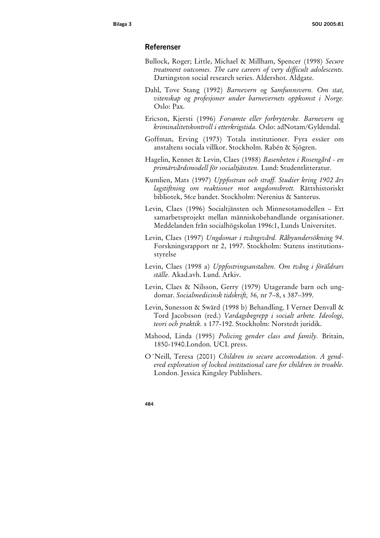# Referenser

- Bullock, Roger; Little, Michael & Millham, Spencer (1998) Secure treatment outcomes. The care careers of very difficult adolescents. Dartingston social research series. Aldershot. Aldgate.
- Dahl, Tove Stang (1992) Barnevern og Samfunnsvern. Om stat, vitenskap og profesjoner under barnevernets oppkomst i Norge. Oslo: Pax.
- Ericson, Kjersti (1996) Forsømte eller forbryterske. Barnevern og kriminalitetskontroll i etterkrigstida. Oslo: adNotam/Gyldendal.
- Goffman, Erving (1973) Totala institutioner. Fyra essäer om anstaltens sociala villkor. Stockholm. Rabén & Sjögren.
- Hagelin, Kennet & Levin, Claes (1988) Basenheten i Rosengård en primärvårdsmodell för socialtjänsten. Lund: Studentlitteratur.
- Kumlien, Mats (1997) Uppfostran och straff. Studier kring 1902 års lagstiftning om reaktioner mot ungdomsbrott. Rättshistoriskt bibliotek, 56:e bandet. Stockholm: Nerenius & Santerus.
- Levin, Claes (1996) Socialtjänsten och Minnesotamodellen Ett samarbetsprojekt mellan människobehandlande organisationer. Meddelanden från socialhögskolan 1996:1, Lunds Universitet.
- Levin, Claes (1997) Ungdomar i tvångsvård. Råbyundersökning 94. Forskningsrapport nr 2, 1997. Stockholm: Statens institutionsstyrelse
- Levin, Claes (1998 a) Uppfostringsanstalten. Om tvång i föräldrars ställe. Akad.avh. Lund. Arkiv.
- Levin, Claes & Nilsson, Gerry (1979) Utagerande barn och ungdomar. Socialmedicinsk tidskrift, 56, nr 7–8, s 387–399.
- Levin, Sunesson & Swärd (1998 b) Behandling. I Verner Denvall & Tord Jacobsson (red.) Vardagsbegrepp i socialt arbete. Ideologi, teori och praktik. s 177-192. Stockholm: Norstedt juridik.
- Mahood, Linda (1995) Policing gender class and family. Britain, 1850-1940.London. UCL press.
- O´Neill, Teresa (2001) Children in secure accomodation. A gendered exploration of locked institutional care for children in trouble. London. Jessica Kingsley Publishers.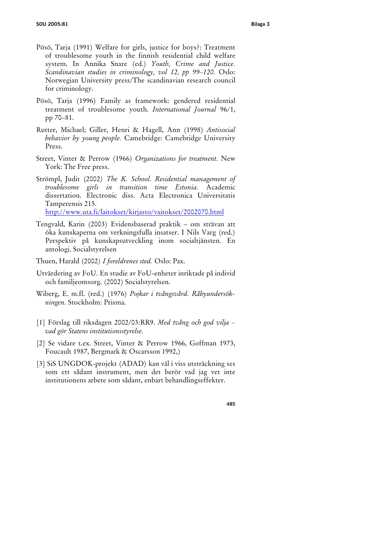- Pösö, Tarja (1991) Welfare for girls, justice for boys?: Treatment of troublesome youth in the finnish residential child welfare system. In Annika Snare (ed.) Youth, Crime and Justice. Scandinavian studies in criminology, vol 12, pp 99–120. Oslo: Norwegian University press/The scandinavian research council for criminology.
- Pösö, Tarja (1996) Family as framework: gendered residential treatment of troublesome youth. International Journal 96/1, pp 70–81.
- Rutter, Michael; Giller, Henri & Hagell, Ann (1998) Antisocial behavior by young people. Camebridge: Camebridge University Press.
- Street, Vinter & Perrow (1966) Organizations for treatment. New York: The Free press.
- Strömpl, Judit (2002) The K. School. Residential management of troublesome girls in transition time Estonia. Academic dissertation. Electronic diss. Acta Electronica Universitatis Tamperensis 215. <http://www.uta.fi/laitokset/kirjasto/vaitokset/2002070.html>
- Tengvald, Karin (2003) Evidensbaserad praktik om strävan att öka kunskaperna om verkningsfulla insatser. I Nils Varg (red.) Perspektiv på kunskapsutveckling inom socialtjänsten. En antologi. Socialstyrelsen
- Thuen, Harald (2002) I foreldrenes sted. Oslo: Pax.
- Utvärdering av FoU. En studie av FoU-enheter inriktade på individ och familjeomsorg. (2002) Socialstyrelsen.
- Wiberg, E. m.fl. (red.) (1976) Pojkar i tvångsvård. Råbyundersökningen. Stockholm: Prisma.
- [1] Förslag till riksdagen 2002/03:RR9. Med tvång och god vilja vad gör Statens institutionsstyrelse.
- [2] Se vidare t.ex. Street, Vinter & Perrow 1966, Goffman 1973, Foucault 1987, Bergmark & Oscarsson 1992,)
- [3] SiS UNGDOK-projekt (ADAD) kan väl i viss utsträckning ses som ett sådant instrument, men det berör vad jag vet inte institutionens arbete som sådant, enbart behandlingseffekter.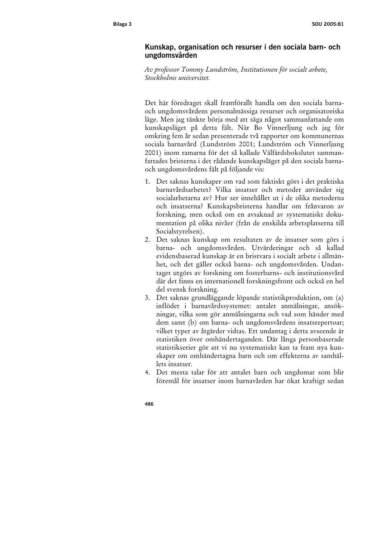Av professor Tommy Lundström, Institutionen för socialt arbete, Stockholms universitet.

Det här föredraget skall framförallt handla om den sociala barnaoch ungdomsvårdens personalmässiga resurser och organisatoriska läge. Men jag tänkte börja med att säga något sammanfattande om kunskapsläget på detta fält. När Bo Vinnerljung och jag för omkring fem år sedan presenterade två rapporter om kommunernas sociala barnavård (Lundström 2001; Lundström och Vinnerljung 2001) inom ramarna för det så kallade Välfärdsbokslutet sammanfattades bristerna i det rådande kunskapsläget på den sociala barnaoch ungdomsvårdens fält på följande vis:

- 1. Det saknas kunskaper om vad som faktiskt görs i det praktiska barnavårdsarbetet? Vilka insatser och metoder använder sig socialarbetarna av? Hur ser innehållet ut i de olika metoderna och insatserna? Kunskapsbristerna handlar om frånvaron av forskning, men också om en avsaknad av systematiskt dokumentation på olika nivåer (från de enskilda arbetsplatserna till Socialstyrelsen).
- 2. Det saknas kunskap om resultaten av de insatser som görs i barna- och ungdomsvården. Utvärderingar och så kallad evidensbaserad kunskap är en bristvara i socialt arbete i allmänhet, och det gäller också barna- och ungdomsvården. Undantaget utgörs av forskning om fosterbarns- och institutionsvård där det finns en internationell forskningsfront och också en hel del svensk forskning.
- 3. Det saknas grundläggande löpande statistikproduktion, om (a) inflödet i barnavårdssystemet: antalet anmälningar, ansökningar, vilka som gör anmälningarna och vad som händer med dem samt (b) om barna- och ungdomsvårdens insatsrepertoar; vilket typer av åtgärder vidtas. Ett undantag i detta avseende är statistiken över omhändertaganden. Där långa personbaserade statistikserier gör att vi nu systematiskt kan ta fram nya kunskaper om omhändertagna barn och om effekterna av samhällets insatser.
- 4. Det mesta talar för att antalet barn och ungdomar som blir föremål för insatser inom barnavården har ökat kraftigt sedan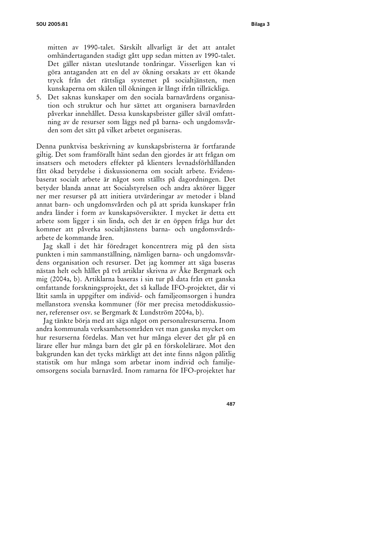mitten av 1990-talet. Särskilt allvarligt är det att antalet omhändertaganden stadigt gått upp sedan mitten av 1990-talet. Det gäller nästan uteslutande tonåringar. Visserligen kan vi göra antaganden att en del av ökning orsakats av ett ökande tryck från det rättsliga systemet på socialtjänsten, men kunskaperna om skälen till ökningen är långt ifrån tillräckliga.

5. Det saknas kunskaper om den sociala barnavårdens organisation och struktur och hur sättet att organisera barnavården påverkar innehållet. Dessa kunskapsbrister gäller såväl omfattning av de resurser som läggs ned på barna- och ungdomsvården som det sätt på vilket arbetet organiseras.

Denna punktvisa beskrivning av kunskapsbristerna är fortfarande giltig. Det som framförallt hänt sedan den gjordes är att frågan om insatsers och metoders effekter på klienters levnadsförhållanden fått ökad betydelse i diskussionerna om socialt arbete. Evidensbaserat socialt arbete är något som ställts på dagordningen. Det betyder blanda annat att Socialstyrelsen och andra aktörer lägger ner mer resurser på att initiera utvärderingar av metoder i bland annat barn- och ungdomsvården och på att sprida kunskaper från andra länder i form av kunskapsöversikter. I mycket är detta ett arbete som ligger i sin linda, och det är en öppen fråga hur det kommer att påverka socialtjänstens barna- och ungdomsvårdsarbete de kommande åren.

Jag skall i det här föredraget koncentrera mig på den sista punkten i min sammanställning, nämligen barna- och ungdomsvårdens organisation och resurser. Det jag kommer att säga baseras nästan helt och hållet på två artiklar skrivna av Åke Bergmark och mig (2004a, b). Artiklarna baseras i sin tur på data från ett ganska omfattande forskningsprojekt, det så kallade IFO-projektet, där vi låtit samla in uppgifter om individ- och familjeomsorgen i hundra mellanstora svenska kommuner (för mer precisa metoddiskussioner, referenser osv. se Bergmark & Lundström 2004a, b).

Jag tänkte börja med att säga något om personalresurserna. Inom andra kommunala verksamhetsområden vet man ganska mycket om hur resurserna fördelas. Man vet hur många elever det går på en lärare eller hur många barn det går på en förskolelärare. Mot den bakgrunden kan det tycks märkligt att det inte finns någon pålitlig statistik om hur många som arbetar inom individ och familjeomsorgens sociala barnavård. Inom ramarna för IFO-projektet har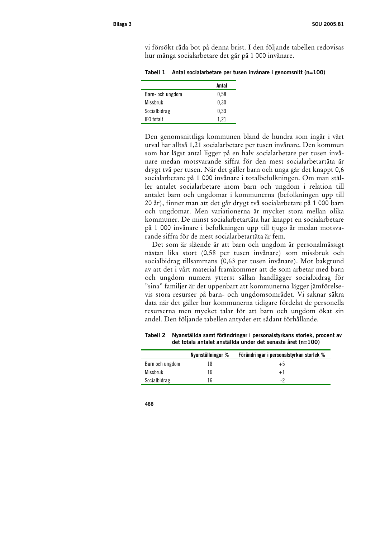vi försökt råda bot på denna brist. I den följande tabellen redovisas hur många socialarbetare det går på 1 000 invånare.

Tabell 1 Antal socialarbetare per tusen invånare i genomsnitt (n=100)

|                   | Antal |
|-------------------|-------|
| Barn- och ungdom  | 0,58  |
| Missbruk          | 0,30  |
| Socialbidrag      | 0,33  |
| <b>IFO</b> totalt | 1.21  |

Den genomsnittliga kommunen bland de hundra som ingår i vårt urval har alltså 1,21 socialarbetare per tusen invånare. Den kommun som har lägst antal ligger på en halv socialarbetare per tusen invånare medan motsvarande siffra för den mest socialarbetartäta är drygt två per tusen. När det gäller barn och unga går det knappt 0,6 socialarbetare på 1 000 invånare i totalbefolkningen. Om man ställer antalet socialarbetare inom barn och ungdom i relation till antalet barn och ungdomar i kommunerna (befolkningen upp till 20 år), finner man att det går drygt två socialarbetare på 1 000 barn och ungdomar. Men variationerna är mycket stora mellan olika kommuner. De minst socialarbetartäta har knappt en socialarbetare på 1 000 invånare i befolkningen upp till tjugo år medan motsvarande siffra för de mest socialarbetartäta är fem.

Det som är slående är att barn och ungdom är personalmässigt nästan lika stort (0,58 per tusen invånare) som missbruk och socialbidrag tillsammans (0,63 per tusen invånare). Mot bakgrund av att det i vårt material framkommer att de som arbetar med barn och ungdom numera ytterst sällan handlägger socialbidrag för "sina" familjer är det uppenbart att kommunerna lägger jämförelsevis stora resurser på barn- och ungdomsområdet. Vi saknar säkra data när det gäller hur kommunerna tidigare fördelat de personella resurserna men mycket talar för att barn och ungdom ökat sin andel. Den följande tabellen antyder ett sådant förhållande.

Tabell 2 Nyanställda samt förändringar i personalstyrkans storlek, procent av det totala antalet anställda under det senaste året (n=100)

|                 | Nyanställningar % | Förändringar i personalstyrkan storlek % |
|-----------------|-------------------|------------------------------------------|
| Barn och ungdom | 18                | $+5$                                     |
| Missbruk        | 16                | + l                                      |
| Socialbidrag    | 16                | -2                                       |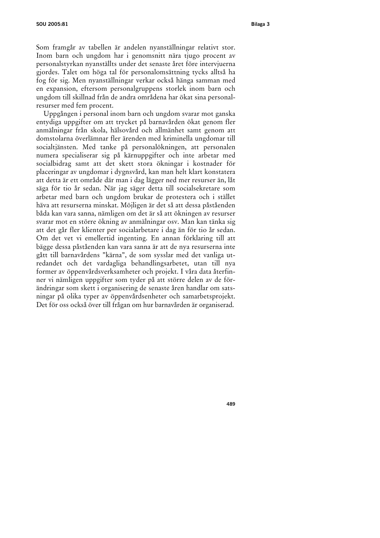Som framgår av tabellen är andelen nyanställningar relativt stor. Inom barn och ungdom har i genomsnitt nära tjugo procent av personalstyrkan nyanställts under det senaste året före intervjuerna gjordes. Talet om höga tal för personalomsättning tycks alltså ha fog för sig. Men nyanställningar verkar också hänga samman med en expansion, eftersom personalgruppens storlek inom barn och ungdom till skillnad från de andra områdena har ökat sina personalresurser med fem procent.

Uppgången i personal inom barn och ungdom svarar mot ganska entydiga uppgifter om att trycket på barnavården ökat genom fler anmälningar från skola, hälsovård och allmänhet samt genom att domstolarna överlämnar fler ärenden med kriminella ungdomar till socialtjänsten. Med tanke på personalökningen, att personalen numera specialiserar sig på kärnuppgifter och inte arbetar med socialbidrag samt att det skett stora ökningar i kostnader för placeringar av ungdomar i dygnsvård, kan man helt klart konstatera att detta är ett område där man i dag lägger ned mer resurser än, låt säga för tio år sedan. När jag säger detta till socialsekretare som arbetar med barn och ungdom brukar de protestera och i stället häva att resurserna minskat. Möjligen är det så att dessa påståenden båda kan vara sanna, nämligen om det är så att ökningen av resurser svarar mot en större ökning av anmälningar osv. Man kan tänka sig att det går fler klienter per socialarbetare i dag än för tio år sedan. Om det vet vi emellertid ingenting. En annan förklaring till att bägge dessa påståenden kan vara sanna är att de nya resurserna inte gått till barnavårdens "kärna", de som sysslar med det vanliga utredandet och det vardagliga behandlingsarbetet, utan till nya former av öppenvårdsverksamheter och projekt. I våra data återfinner vi nämligen uppgifter som tyder på att större delen av de förändringar som skett i organisering de senaste åren handlar om satsningar på olika typer av öppenvårdsenheter och samarbetsprojekt. Det för oss också över till frågan om hur barnavården är organiserad.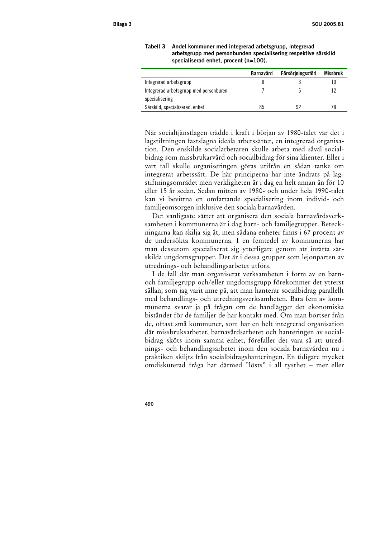|                                        | <b>Barnavård</b> | Försöriningsstöd | Missbruk |
|----------------------------------------|------------------|------------------|----------|
| Integrerad arbetsgrupp                 |                  |                  | 10       |
| Integrerad arbetsgrupp med personburen |                  |                  |          |
| specialisering                         |                  |                  |          |
| Särskild, specialiserad, enhet         | 85               | ۵2               | 78       |

Tabell 3 Andel kommuner med integrerad arbetsgrupp, integrerad arbetsgrupp med personbunden specialisering respektive särskild specialiserad enhet, procent (n=100).

När socialtjänstlagen trädde i kraft i början av 1980-talet var det i lagstiftningen fastslagna ideala arbetssättet, en integrerad organisation. Den enskilde socialarbetaren skulle arbeta med såväl socialbidrag som missbrukarvård och socialbidrag för sina klienter. Eller i vart fall skulle organiseringen göras utifrån en sådan tanke om integrerat arbetssätt. De här principerna har inte ändrats på lagstiftningsområdet men verkligheten är i dag en helt annan än för 10 eller 15 år sedan. Sedan mitten av 1980- och under hela 1990-talet kan vi bevittna en omfattande specialisering inom individ- och familjeomsorgen inklusive den sociala barnavården.

Det vanligaste sättet att organisera den sociala barnavårdsverksamheten i kommunerna är i dag barn- och familjegrupper. Beteckningarna kan skilja sig åt, men sådana enheter finns i 67 procent av de undersökta kommunerna. I en femtedel av kommunerna har man dessutom specialiserat sig ytterligare genom att inrätta särskilda ungdomsgrupper. Det är i dessa grupper som lejonparten av utrednings- och behandlingsarbetet utförs.

I de fall där man organiserat verksamheten i form av en barnoch familjegrupp och/eller ungdomsgrupp förekommer det ytterst sällan, som jag varit inne på, att man hanterar socialbidrag parallellt med behandlings- och utredningsverksamheten. Bara fem av kommunerna svarar ja på frågan om de handlägger det ekonomiska biståndet för de familjer de har kontakt med. Om man bortser från de, oftast små kommuner, som har en helt integrerad organisation där missbruksarbetet, barnavårdsarbetet och hanteringen av socialbidrag sköts inom samma enhet, förefaller det vara så att utrednings- och behandlingsarbetet inom den sociala barnavården nu i praktiken skiljts från socialbidragshanteringen. En tidigare mycket omdiskuterad fråga har därmed "lösts" i all tysthet – mer eller

490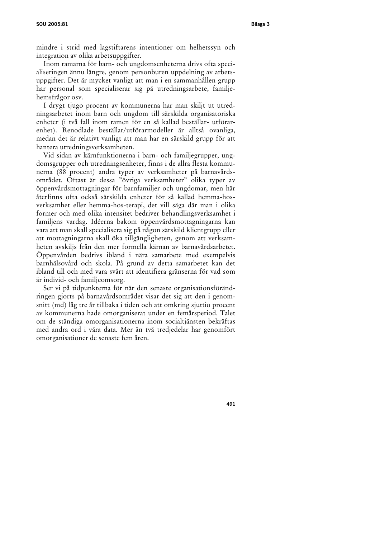mindre i strid med lagstiftarens intentioner om helhetssyn och integration av olika arbetsuppgifter.

Inom ramarna för barn- och ungdomsenheterna drivs ofta specialiseringen ännu längre, genom personburen uppdelning av arbetsuppgifter. Det är mycket vanligt att man i en sammanhållen grupp har personal som specialiserar sig på utredningsarbete, familjehemsfrågor osv.

I drygt tjugo procent av kommunerna har man skiljt ut utredningsarbetet inom barn och ungdom till särskilda organisatoriska enheter (i två fall inom ramen för en så kallad beställar- utförarenhet). Renodlade beställar/utförarmodeller är alltså ovanliga, medan det är relativt vanligt att man har en särskild grupp för att hantera utredningsverksamheten.

Vid sidan av kärnfunktionerna i barn- och familjegrupper, ungdomsgrupper och utredningsenheter, finns i de allra flesta kommunerna (88 procent) andra typer av verksamheter på barnavårdsområdet. Oftast är dessa "övriga verksamheter" olika typer av öppenvårdsmottagningar för barnfamiljer och ungdomar, men här återfinns ofta också särskilda enheter för så kallad hemma-hosverksamhet eller hemma-hos-terapi, det vill säga där man i olika former och med olika intensitet bedriver behandlingsverksamhet i familjens vardag. Idéerna bakom öppenvårdsmottagningarna kan vara att man skall specialisera sig på någon särskild klientgrupp eller att mottagningarna skall öka tillgängligheten, genom att verksamheten avskiljs från den mer formella kärnan av barnavårdsarbetet. Öppenvården bedrivs ibland i nära samarbete med exempelvis barnhälsovård och skola. På grund av detta samarbetet kan det ibland till och med vara svårt att identifiera gränserna för vad som är individ- och familjeomsorg.

Ser vi på tidpunkterna för när den senaste organisationsförändringen gjorts på barnavårdsområdet visar det sig att den i genomsnitt (md) låg tre år tillbaka i tiden och att omkring sjuttio procent av kommunerna hade omorganiserat under en femårsperiod. Talet om de ständiga omorganisationerna inom socialtjänsten bekräftas med andra ord i våra data. Mer än två tredjedelar har genomfört omorganisationer de senaste fem åren.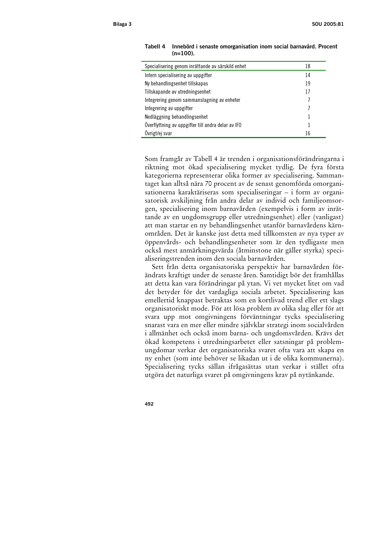| Specialisering genom inrättande av särskild enhet  | 18 |
|----------------------------------------------------|----|
| Intern specialisering av uppgifter                 | 14 |
| Ny behandlingsenhet tillskapas                     | 19 |
| Tillskapande av utredningsenhet                    | 17 |
| Integrering genom sammanslagning av enheter        |    |
| Integrering av uppgifter                           |    |
| Nedläggning behandlingsenhet                       |    |
| Överflyttning av uppgifter till andra delar av IFO |    |
| Övrigt/ej svar                                     | 16 |

Tabell 4 Innebörd i senaste omorganisation inom social barnavård. Procent  $(n=100)$ .

Som framgår av Tabell 4 är trenden i organisationsförändringarna i riktning mot ökad specialisering mycket tydlig. De fyra första kategorierna representerar olika former av specialisering. Sammantaget kan alltså nära 70 procent av de senast genomförda omorganisationerna karaktäriseras som specialiseringar – i form av organisatorisk avskiljning från andra delar av individ och familjeomsorgen, specialisering inom barnavården (exempelvis i form av inrättande av en ungdomsgrupp eller utredningsenhet) eller (vanligast) att man startar en ny behandlingsenhet utanför barnavårdens kärnområden. Det är kanske just detta med tillkomsten av nya typer av öppenvårds- och behandlingsenheter som är den tydligaste men också mest anmärkningsvärda (åtminstone när gäller styrka) specialiseringstrenden inom den sociala barnavården.

Sett från detta organisatoriska perspektiv har barnavården förändrats kraftigt under de senaste åren. Samtidigt bör det framhållas att detta kan vara förändringar på ytan. Vi vet mycket litet om vad det betyder för det vardagliga sociala arbetet. Specialisering kan emellertid knappast betraktas som en kortlivad trend eller ett slags organisatoriskt mode. För att lösa problem av olika slag eller för att svara upp mot omgivningens förväntningar tycks specialisering snarast vara en mer eller mindre självklar strategi inom socialvården i allmänhet och också inom barna- och ungdomsvården. Krävs det ökad kompetens i utredningsarbetet eller satsningar på problemungdomar verkar det organisatoriska svaret ofta vara att skapa en ny enhet (som inte behöver se likadan ut i de olika kommunerna). Specialisering tycks sällan ifrågasättas utan verkar i stället ofta utgöra det naturliga svaret på omgivningens krav på nytänkande.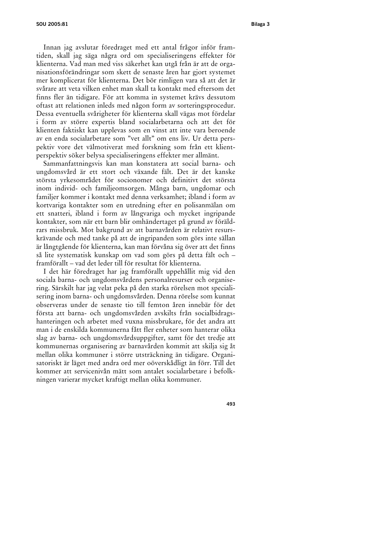Innan jag avslutar föredraget med ett antal frågor inför framtiden, skall jag säga några ord om specialiseringens effekter för klienterna. Vad man med viss säkerhet kan utgå från är att de organisationsförändringar som skett de senaste åren har gjort systemet mer komplicerat för klienterna. Det bör rimligen vara så att det är svårare att veta vilken enhet man skall ta kontakt med eftersom det finns fler än tidigare. För att komma in systemet krävs dessutom oftast att relationen inleds med någon form av sorteringsprocedur. Dessa eventuella svårigheter för klienterna skall vägas mot fördelar i form av större expertis bland socialarbetarna och att det för klienten faktiskt kan upplevas som en vinst att inte vara beroende av en enda socialarbetare som "vet allt" om ens liv. Ur detta perspektiv vore det välmotiverat med forskning som från ett klientperspektiv söker belysa specialiseringens effekter mer allmänt.

Sammanfattningsvis kan man konstatera att social barna- och ungdomsvård är ett stort och växande fält. Det är det kanske största yrkesområdet för socionomer och definitivt det största inom individ- och familjeomsorgen. Många barn, ungdomar och familjer kommer i kontakt med denna verksamhet; ibland i form av kortvariga kontakter som en utredning efter en polisanmälan om ett snatteri, ibland i form av långvariga och mycket ingripande kontakter, som när ett barn blir omhändertaget på grund av föräldrars missbruk. Mot bakgrund av att barnavården är relativt resurskrävande och med tanke på att de ingripanden som görs inte sällan är långtgående för klienterna, kan man förvåna sig över att det finns så lite systematisk kunskap om vad som görs på detta fält och – framförallt – vad det leder till för resultat för klienterna.

I det här föredraget har jag framförallt uppehållit mig vid den sociala barna- och ungdomsvårdens personalresurser och organisering. Särskilt har jag velat peka på den starka rörelsen mot specialisering inom barna- och ungdomsvården. Denna rörelse som kunnat observeras under de senaste tio till femton åren innebär för det första att barna- och ungdomsvården avskilts från socialbidragshanteringen och arbetet med vuxna missbrukare, för det andra att man i de enskilda kommunerna fått fler enheter som hanterar olika slag av barna- och ungdomsvårdsuppgifter, samt för det tredje att kommunernas organisering av barnavården kommit att skilja sig åt mellan olika kommuner i större utsträckning än tidigare. Organisatoriskt är läget med andra ord mer oöverskådligt än förr. Till det kommer att servicenivån mätt som antalet socialarbetare i befolkningen varierar mycket kraftigt mellan olika kommuner.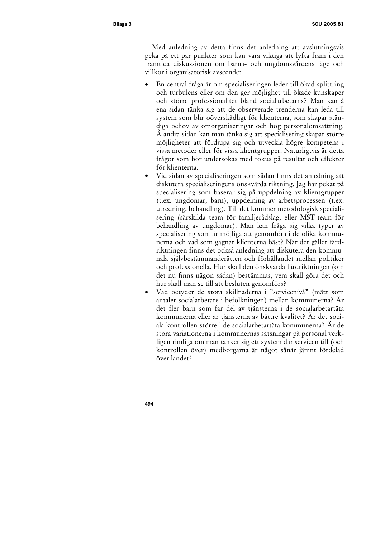Med anledning av detta finns det anledning att avslutningsvis peka på ett par punkter som kan vara viktiga att lyfta fram i den framtida diskussionen om barna- och ungdomsvårdens läge och villkor i organisatorisk avseende:

- En central fråga är om specialiseringen leder till ökad splittring och turbulens eller om den ger möjlighet till ökade kunskaper och större professionalitet bland socialarbetarns? Man kan å ena sidan tänka sig att de observerade trenderna kan leda till system som blir oöverskådligt för klienterna, som skapar ständiga behov av omorganiseringar och hög personalomsättning. Å andra sidan kan man tänka sig att specialisering skapar större möjligheter att fördjupa sig och utveckla högre kompetens i vissa metoder eller för vissa klientgrupper. Naturligtvis är detta frågor som bör undersökas med fokus på resultat och effekter för klienterna.
- Vid sidan av specialiseringen som sådan finns det anledning att diskutera specialiseringens önskvärda riktning. Jag har pekat på specialisering som baserar sig på uppdelning av klientgrupper (t.ex. ungdomar, barn), uppdelning av arbetsprocessen (t.ex. utredning, behandling). Till det kommer metodologisk specialisering (särskilda team för familjerådslag, eller MST-team för behandling av ungdomar). Man kan fråga sig vilka typer av specialisering som är möjliga att genomföra i de olika kommunerna och vad som gagnar klienterna bäst? När det gäller färdriktningen finns det också anledning att diskutera den kommunala självbestämmanderätten och förhållandet mellan politiker och professionella. Hur skall den önskvärda färdriktningen (om det nu finns någon sådan) bestämmas, vem skall göra det och hur skall man se till att besluten genomförs?
- Vad betyder de stora skillnaderna i "servicenivå" (mätt som antalet socialarbetare i befolkningen) mellan kommunerna? Är det fler barn som får del av tjänsterna i de socialarbetartäta kommunerna eller är tjänsterna av bättre kvalitet? Är det sociala kontrollen större i de socialarbetartäta kommunerna? Är de stora variationerna i kommunernas satsningar på personal verkligen rimliga om man tänker sig ett system där servicen till (och kontrollen över) medborgarna är något sånär jämnt fördelad över landet?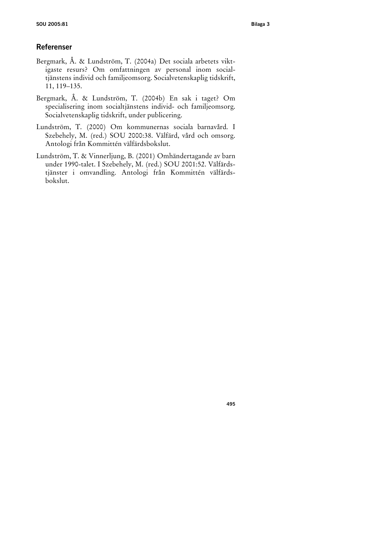# Referenser

- Bergmark, Å. & Lundström, T. (2004a) Det sociala arbetets viktigaste resurs? Om omfattningen av personal inom socialtjänstens individ och familjeomsorg. Socialvetenskaplig tidskrift, 11, 119–135.
- Bergmark, Å. & Lundström, T. (2004b) En sak i taget? Om specialisering inom socialtjänstens individ- och familjeomsorg. Socialvetenskaplig tidskrift, under publicering.
- Lundström, T. (2000) Om kommunernas sociala barnavård. I Szebehely, M. (red.) SOU 2000:38. Välfärd, vård och omsorg. Antologi från Kommittén välfärdsbokslut.
- Lundström, T. & Vinnerljung, B. (2001) Omhändertagande av barn under 1990-talet. I Szebehely, M. (red.) SOU 2001:52. Välfärdstjänster i omvandling. Antologi från Kommittén välfärdsbokslut.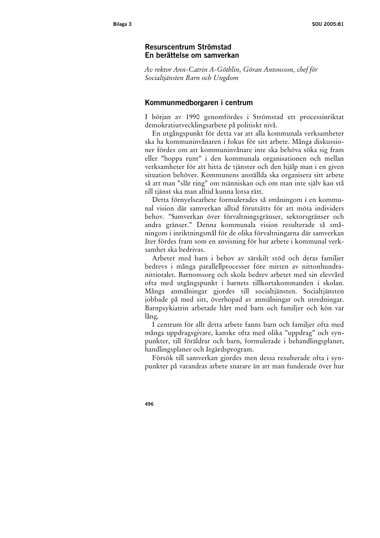# Resurscentrum Strömstad En berättelse om samverkan

Av rektor Ann-Catrin A-Göthlin, Göran Antonsson, chef för Socialtjänsten Barn och Ungdom

# Kommunmedborgaren i centrum

I början av 1990 genomfördes i Strömstad ett processinriktat demokratiutvecklingsarbete på politiskt nivå.

En utgångspunkt för detta var att alla kommunala verksamheter ska ha kommuninvånaren i fokus för sitt arbete. Många diskussioner fördes om att kommuninvånare inte ska behöva söka sig fram eller "hoppa runt" i den kommunala organisationen och mellan verksamheter för att hitta de tjänster och den hjälp man i en given situation behöver. Kommunens anställda ska organisera sitt arbete så att man "slår ring" om människan och om man inte själv kan stå till tjänst ska man alltid kunna lotsa rätt.

Detta förnyelsearbete formulerades så småningom i en kommunal vision där samverkan alltid förutsätts för att möta individers behov. "Samverkan över förvaltningsgränser, sektorsgränser och andra gränser." Denna kommunala vision resulterade så småningom i inriktningsmål för de olika förvaltningarna där samverkan åter fördes fram som en anvisning för hur arbete i kommunal verksamhet ska bedrivas.

Arbetet med barn i behov av särskilt stöd och deras familjer bedrevs i många parallellprocesser före mitten av nittonhundranittiotalet. Barnomsorg och skola bedrev arbetet med sin elevvård ofta med utgångspunkt i barnets tillkortakommanden i skolan. Många anmälningar gjordes till socialtjänsten. Socialtjänsten jobbade på med sitt, överhopad av anmälningar och utredningar. Barnpsykiatrin arbetade hårt med barn och familjer och kön var lång.

I centrum för allt detta arbete fanns barn och familjer ofta med många uppdragsgivare, kanske ofta med olika "uppdrag" och synpunkter, till föräldrar och barn, formulerade i behandlingsplaner, handlingsplaner och åtgärdsprogram.

Försök till samverkan gjordes men dessa resulterade ofta i synpunkter på varandras arbete snarare än att man funderade över hur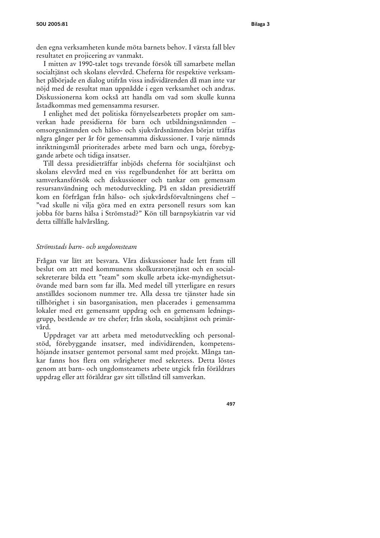den egna verksamheten kunde möta barnets behov. I värsta fall blev resultatet en projicering av vanmakt.

I mitten av 1990-talet togs trevande försök till samarbete mellan socialtjänst och skolans elevvård. Cheferna för respektive verksamhet påbörjade en dialog utifrån vissa individärenden då man inte var nöjd med de resultat man uppnådde i egen verksamhet och andras. Diskussionerna kom också att handla om vad som skulle kunna åstadkommas med gemensamma resurser.

I enlighet med det politiska förnyelsearbetets propåer om samverkan hade presidierna för barn och utbildningsnämnden – omsorgsnämnden och hälso- och sjukvårdsnämnden börjat träffas några gånger per år för gemensamma diskussioner. I varje nämnds inriktningsmål prioriterades arbete med barn och unga, förebyggande arbete och tidiga insatser.

Till dessa presidieträffar inbjöds cheferna för socialtjänst och skolans elevvård med en viss regelbundenhet för att berätta om samverkansförsök och diskussioner och tankar om gemensam resursanvändning och metodutveckling. På en sådan presidieträff kom en förfrågan från hälso- och sjukvårdsförvaltningens chef – "vad skulle ni vilja göra med en extra personell resurs som kan jobba för barns hälsa i Strömstad?" Kön till barnpsykiatrin var vid detta tillfälle halvårslång.

#### Strömstads barn- och ungdomsteam

Frågan var lätt att besvara. Våra diskussioner hade lett fram till beslut om att med kommunens skolkuratorstjänst och en socialsekreterare bilda ett "team" som skulle arbeta icke-myndighetsutövande med barn som far illa. Med medel till ytterligare en resurs anställdes socionom nummer tre. Alla dessa tre tjänster hade sin tillhörighet i sin basorganisation, men placerades i gemensamma lokaler med ett gemensamt uppdrag och en gemensam ledningsgrupp, bestående av tre chefer; från skola, socialtjänst och primärvård.

Uppdraget var att arbeta med metodutveckling och personalstöd, förebyggande insatser, med individärenden, kompetenshöjande insatser gentemot personal samt med projekt. Många tankar fanns hos flera om svårigheter med sekretess. Detta löstes genom att barn- och ungdomsteamets arbete utgick från föräldrars uppdrag eller att föräldrar gav sitt tillstånd till samverkan.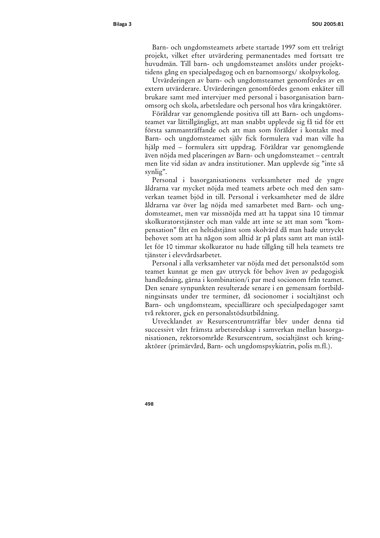Barn- och ungdomsteamets arbete startade 1997 som ett treårigt projekt, vilket efter utvärdering permanentades med fortsatt tre huvudmän. Till barn- och ungdomsteamet anslöts under projekttidens gång en specialpedagog och en barnomsorgs/ skolpsykolog.

Utvärderingen av barn- och ungdomsteamet genomfördes av en extern utvärderare. Utvärderingen genomfördes genom enkäter till brukare samt med intervjuer med personal i basorganisation barnomsorg och skola, arbetsledare och personal hos våra kringaktörer.

Föräldrar var genomgående positiva till att Barn- och ungdomsteamet var lättillgängligt, att man snabbt upplevde sig få tid för ett första sammanträffande och att man som förälder i kontakt med Barn- och ungdomsteamet själv fick formulera vad man ville ha hjälp med – formulera sitt uppdrag. Föräldrar var genomgående även nöjda med placeringen av Barn- och ungdomsteamet – centralt men lite vid sidan av andra institutioner. Man upplevde sig "inte så synlig".

Personal i basorganisationens verksamheter med de yngre åldrarna var mycket nöjda med teamets arbete och med den samverkan teamet bjöd in till. Personal i verksamheter med de äldre åldrarna var över lag nöjda med samarbetet med Barn- och ungdomsteamet, men var missnöjda med att ha tappat sina 10 timmar skolkuratorstjänster och man valde att inte se att man som "kompensation" fått en heltidstjänst som skolvärd då man hade uttryckt behovet som att ha någon som alltid är på plats samt att man istället för 10 timmar skolkurator nu hade tillgång till hela teamets tre tjänster i elevvårdsarbetet.

Personal i alla verksamheter var nöjda med det personalstöd som teamet kunnat ge men gav uttryck för behov även av pedagogisk handledning, gärna i kombination/i par med socionom från teamet. Den senare synpunkten resulterade senare i en gemensam fortbildningsinsats under tre terminer, då socionomer i socialtjänst och Barn- och ungdomsteam, speciallärare och specialpedagoger samt två rektorer, gick en personalstödsutbildning.

Utvecklandet av Resurscentrumträffar blev under denna tid successivt vårt främsta arbetsredskap i samverkan mellan basorganisationen, rektorsområde Resurscentrum, socialtjänst och kringaktörer (primärvård, Barn- och ungdomspsykiatrin, polis m.fl.).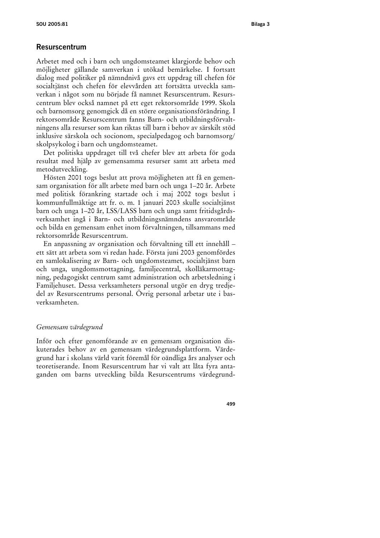# Resurscentrum

Arbetet med och i barn och ungdomsteamet klargjorde behov och möjligheter gällande samverkan i utökad bemärkelse. I fortsatt dialog med politiker på nämndnivå gavs ett uppdrag till chefen för socialtjänst och chefen för elevvården att fortsätta utveckla samverkan i något som nu började få namnet Resurscentrum. Resurscentrum blev också namnet på ett eget rektorsområde 1999. Skola och barnomsorg genomgick då en större organisationsförändring. I rektorsområde Resurscentrum fanns Barn- och utbildningsförvaltningens alla resurser som kan riktas till barn i behov av särskilt stöd inklusive särskola och socionom, specialpedagog och barnomsorg/ skolpsykolog i barn och ungdomsteamet.

Det politiska uppdraget till två chefer blev att arbeta för goda resultat med hjälp av gemensamma resurser samt att arbeta med metodutveckling.

Hösten 2001 togs beslut att prova möjligheten att få en gemensam organisation för allt arbete med barn och unga 1–20 år. Arbete med politisk förankring startade och i maj 2002 togs beslut i kommunfullmäktige att fr. o. m. 1 januari 2003 skulle socialtjänst barn och unga 1–20 år, LSS/LASS barn och unga samt fritidsgårdsverksamhet ingå i Barn- och utbildningsnämndens ansvarområde och bilda en gemensam enhet inom förvaltningen, tillsammans med rektorsområde Resurscentrum.

En anpassning av organisation och förvaltning till ett innehåll – ett sätt att arbeta som vi redan hade. Första juni 2003 genomfördes en samlokalisering av Barn- och ungdomsteamet, socialtjänst barn och unga, ungdomsmottagning, familjecentral, skolläkarmottagning, pedagogiskt centrum samt administration och arbetsledning i Familjehuset. Dessa verksamheters personal utgör en dryg tredjedel av Resurscentrums personal. Övrig personal arbetar ute i basverksamheten.

## Gemensam värdegrund

Inför och efter genomförande av en gemensam organisation diskuterades behov av en gemensam värdegrundsplattform. Värdegrund har i skolans värld varit föremål för oändliga års analyser och teoretiserande. Inom Resurscentrum har vi valt att låta fyra antaganden om barns utveckling bilda Resurscentrums värdegrund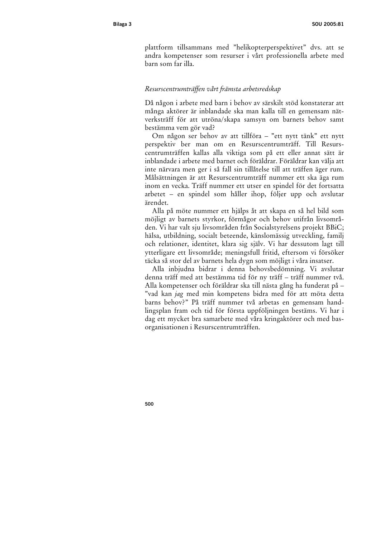plattform tillsammans med "helikopterperspektivet" dvs. att se andra kompetenser som resurser i vårt professionella arbete med barn som far illa.

# Resurscentrumträffen vårt främsta arbetsredskap

Då någon i arbete med barn i behov av särskilt stöd konstaterar att många aktörer är inblandade ska man kalla till en gemensam nätverksträff för att utröna/skapa samsyn om barnets behov samt bestämma vem gör vad?

Om någon ser behov av att tillföra – "ett nytt tänk" ett nytt perspektiv ber man om en Resurscentrumträff. Till Resurscentrumträffen kallas alla viktiga som på ett eller annat sätt är inblandade i arbete med barnet och föräldrar. Föräldrar kan välja att inte närvara men ger i så fall sin tillåtelse till att träffen äger rum. Målsättningen är att Resurscentrumträff nummer ett ska äga rum inom en vecka. Träff nummer ett utser en spindel för det fortsatta arbetet – en spindel som håller ihop, följer upp och avslutar ärendet.

Alla på möte nummer ett hjälps åt att skapa en så hel bild som möjligt av barnets styrkor, förmågor och behov utifrån livsområden. Vi har valt sju livsområden från Socialstyrelsens projekt BBiC; hälsa, utbildning, socialt beteende, känslomässig utveckling, familj och relationer, identitet, klara sig själv. Vi har dessutom lagt till ytterligare ett livsområde; meningsfull fritid, eftersom vi försöker täcka så stor del av barnets hela dygn som möjligt i våra insatser.

Alla inbjudna bidrar i denna behovsbedömning. Vi avslutar denna träff med att bestämma tid för ny träff – träff nummer två. Alla kompetenser och föräldrar ska till nästa gång ha funderat på – "vad kan jag med min kompetens bidra med för att möta detta barns behov?" På träff nummer två arbetas en gemensam handlingsplan fram och tid för första uppföljningen bestäms. Vi har i dag ett mycket bra samarbete med våra kringaktörer och med basorganisationen i Resurscentrumträffen.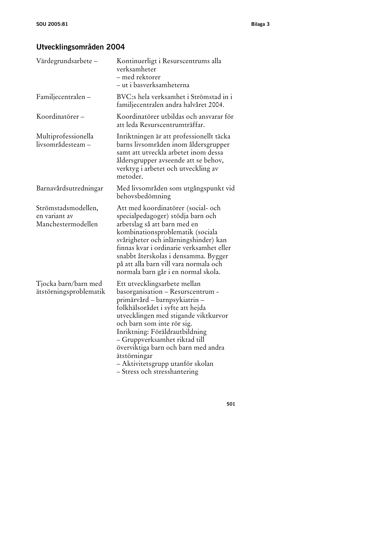# Utvecklingsområden 2004

| Värdegrundsarbete -                                        | Kontinuerligt i Resurscentrums alla<br>verksamheter<br>– med rektorer<br>– ut i basverksamheterna                                                                                                                                                                                                                                                                                                          |
|------------------------------------------------------------|------------------------------------------------------------------------------------------------------------------------------------------------------------------------------------------------------------------------------------------------------------------------------------------------------------------------------------------------------------------------------------------------------------|
| Familjecentralen -                                         | BVC:s hela verksamhet i Strömstad in i<br>familjecentralen andra halvåret 2004.                                                                                                                                                                                                                                                                                                                            |
| Koordinatörer-                                             | Koordinatörer utbildas och ansvarar för<br>att leda Resurscentrumträffar.                                                                                                                                                                                                                                                                                                                                  |
| Multiprofessionella<br>livsområdesteam –                   | Inriktningen är att professionellt täcka<br>barns livsområden inom åldersgrupper<br>samt att utveckla arbetet inom dessa<br>åldersgrupper avseende att se behov,<br>verktyg i arbetet och utveckling av<br>metoder.                                                                                                                                                                                        |
| Barnavårdsutredningar                                      | Med livsområden som utgångspunkt vid<br>behovsbedömning                                                                                                                                                                                                                                                                                                                                                    |
| Strömstadsmodellen,<br>en variant av<br>Manchestermodellen | Att med koordinatörer (social- och<br>specialpedagoger) stödja barn och<br>arbetslag så att barn med en<br>kombinationsproblematik (sociala<br>svårigheter och inlärningshinder) kan<br>finnas kvar i ordinarie verksamhet eller<br>snabbt återskolas i densamma. Bygger<br>på att alla barn vill vara normala och<br>normala barn går i en normal skola.                                                  |
| Tjocka barn/barn med<br>ätstörningsproblematik             | Ett utvecklingsarbete mellan<br>basorganisation - Resurscentrum -<br>primärvård – barnpsykiatrin –<br>folkhälsorådet i syfte att hejda<br>utvecklingen med stigande viktkurvor<br>och barn som inte rör sig.<br>Inriktning: Föräldrautbildning<br>– Gruppverksamhet riktad till<br>överviktiga barn och barn med andra<br>ätstörningar<br>– Aktivitetsgrupp utanför skolan<br>– Stress och stresshantering |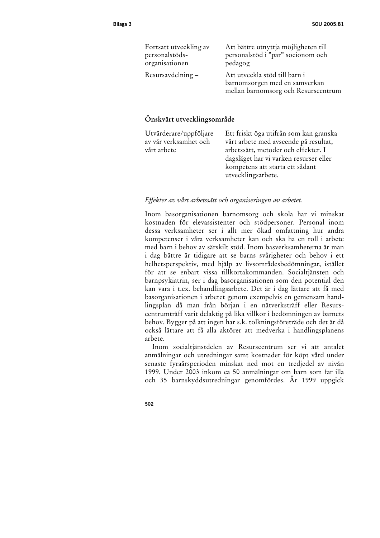| Fortsatt utveckling av | Att bättre utnyttja möjligheten till                                                                  |
|------------------------|-------------------------------------------------------------------------------------------------------|
| personalstöds-         | personalstöd i "par" socionom och                                                                     |
| organisationen         | pedagog                                                                                               |
| Resursavdelning-       | Att utveckla stöd till barn i<br>barnomsorgen med en samverkan<br>mellan barnomsorg och Resurscentrum |

# Önskvärt utvecklingsområde

| Utvärderare/uppföljare | Ett friskt öga utifrån som kan granska |
|------------------------|----------------------------------------|
| av vår verksamhet och  | vårt arbete med avseende på resultat,  |
| vårt arbete            | arbetssätt, metoder och effekter. I    |
|                        | dagsläget har vi varken resurser eller |
|                        | kompetens att starta ett sådant        |
|                        | utvecklingsarbete.                     |

## Effekter av vårt arbetssätt och organiseringen av arbetet.

Inom basorganisationen barnomsorg och skola har vi minskat kostnaden för elevassistenter och stödpersoner. Personal inom dessa verksamheter ser i allt mer ökad omfattning hur andra kompetenser i våra verksamheter kan och ska ha en roll i arbete med barn i behov av särskilt stöd. Inom basverksamheterna är man i dag bättre är tidigare att se barns svårigheter och behov i ett helhetsperspektiv, med hjälp av livsområdesbedömningar, istället för att se enbart vissa tillkortakommanden. Socialtjänsten och barnpsykiatrin, ser i dag basorganisationen som den potential den kan vara i t.ex. behandlingsarbete. Det är i dag lättare att få med basorganisationen i arbetet genom exempelvis en gemensam handlingsplan då man från början i en nätverksträff eller Resurscentrumträff varit delaktig på lika villkor i bedömningen av barnets behov. Bygger på att ingen har s.k. tolkningsföreträde och det är då också lättare att få alla aktörer att medverka i handlingsplanens arbete.

Inom socialtjänstdelen av Resurscentrum ser vi att antalet anmälningar och utredningar samt kostnader för köpt vård under senaste fyraårsperioden minskat ned mot en tredjedel av nivån 1999. Under 2003 inkom ca 50 anmälningar om barn som far illa och 35 barnskyddsutredningar genomfördes. År 1999 uppgick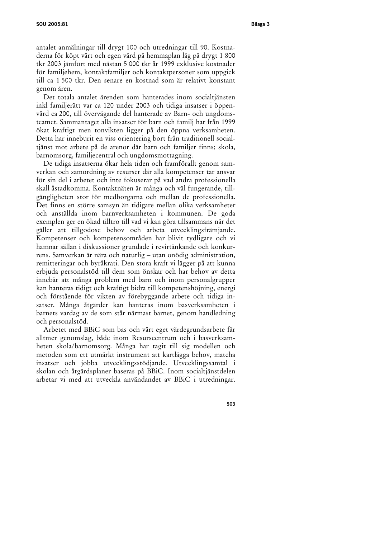antalet anmälningar till drygt 100 och utredningar till 90. Kostnaderna för köpt vårt och egen vård på hemmaplan låg på drygt 1 800 tkr 2003 jämfört med nästan 5 000 tkr år 1999 exklusive kostnader för familjehem, kontaktfamiljer och kontaktpersoner som uppgick till ca 1 500 tkr. Den senare en kostnad som är relativt konstant genom åren.

Det totala antalet ärenden som hanterades inom socialtjänsten inkl familjerätt var ca 120 under 2003 och tidiga insatser i öppenvård ca 200, till övervägande del hanterade av Barn- och ungdomsteamet. Sammantaget alla insatser för barn och familj har från 1999 ökat kraftigt men tonvikten ligger på den öppna verksamheten. Detta har inneburit en viss orientering bort från traditionell socialtjänst mot arbete på de arenor där barn och familjer finns; skola, barnomsorg, familjecentral och ungdomsmottagning.

De tidiga insatserna ökar hela tiden och framförallt genom samverkan och samordning av resurser där alla kompetenser tar ansvar för sin del i arbetet och inte fokuserar på vad andra professionella skall åstadkomma. Kontaktnäten är många och väl fungerande, tillgängligheten stor för medborgarna och mellan de professionella. Det finns en större samsyn än tidigare mellan olika verksamheter och anställda inom barnverksamheten i kommunen. De goda exemplen ger en ökad tilltro till vad vi kan göra tillsammans när det gäller att tillgodose behov och arbeta utvecklingsfrämjande. Kompetenser och kompetensområden har blivit tydligare och vi hamnar sällan i diskussioner grundade i revirtänkande och konkurrens. Samverkan är nära och naturlig – utan onödig administration, remitteringar och byråkrati. Den stora kraft vi lägger på att kunna erbjuda personalstöd till dem som önskar och har behov av detta innebär att många problem med barn och inom personalgrupper kan hanteras tidigt och kraftigt bidra till kompetenshöjning, energi och förstående för vikten av förebyggande arbete och tidiga insatser. Många åtgärder kan hanteras inom basverksamheten i barnets vardag av de som står närmast barnet, genom handledning och personalstöd.

Arbetet med BBiC som bas och vårt eget värdegrundsarbete får alltmer genomslag, både inom Resurscentrum och i basverksamheten skola/barnomsorg. Många har tagit till sig modellen och metoden som ett utmärkt instrument att kartlägga behov, matcha insatser och jobba utvecklingsstödjande. Utvecklingssamtal i skolan och åtgärdsplaner baseras på BBiC. Inom socialtjänstdelen arbetar vi med att utveckla användandet av BBiC i utredningar.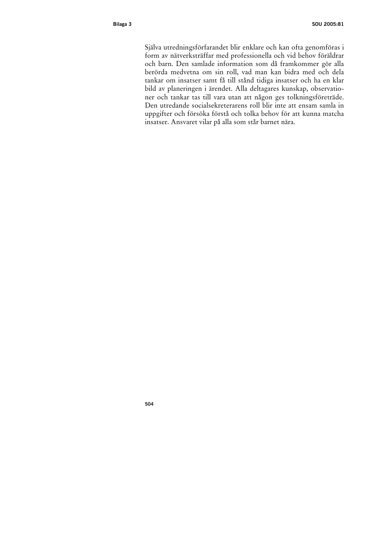Själva utredningsförfarandet blir enklare och kan ofta genomföras i form av nätverksträffar med professionella och vid behov föräldrar och barn. Den samlade information som då framkommer gör alla berörda medvetna om sin roll, vad man kan bidra med och dela tankar om insatser samt få till stånd tidiga insatser och ha en klar bild av planeringen i ärendet. Alla deltagares kunskap, observationer och tankar tas till vara utan att någon ges tolkningsföreträde. Den utredande socialsekreterarens roll blir inte att ensam samla in uppgifter och försöka förstå och tolka behov för att kunna matcha insatser. Ansvaret vilar på alla som står barnet nära.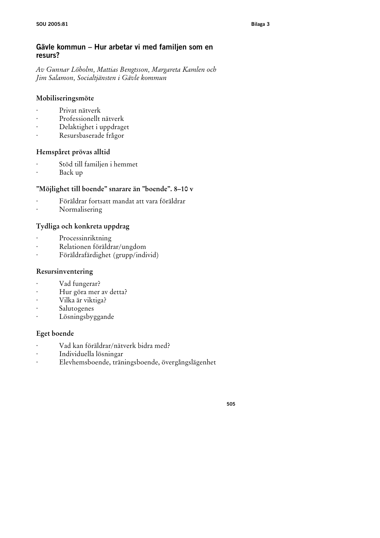# Gävle kommun – Hur arbetar vi med familjen som en resurs?

Av Gunnar Löholm, Mattias Bengtsson, Margareta Kamlen och Jim Salamon, Socialtjänsten i Gävle kommun

#### Mobiliseringsmöte

- · Privat nätverk
- Professionellt nätverk
- · Delaktighet i uppdraget
- · Resursbaserade frågor

### Hemspåret prövas alltid

- Stöd till familjen i hemmet
- Back up

# "Möjlighet till boende" snarare än "boende". 8–10 v

- · Föräldrar fortsatt mandat att vara föräldrar
- · Normalisering

# Tydliga och konkreta uppdrag

- · Processinriktning
- · Relationen föräldrar/ungdom
- · Föräldrafärdighet (grupp/individ)

### Resursinventering

- · Vad fungerar?
- · Hur göra mer av detta?
- · Vilka är viktiga?
- · Salutogenes
- · Lösningsbyggande

#### Eget boende

- · Vad kan föräldrar/nätverk bidra med?
- · Individuella lösningar
- · Elevhemsboende, träningsboende, övergångslägenhet